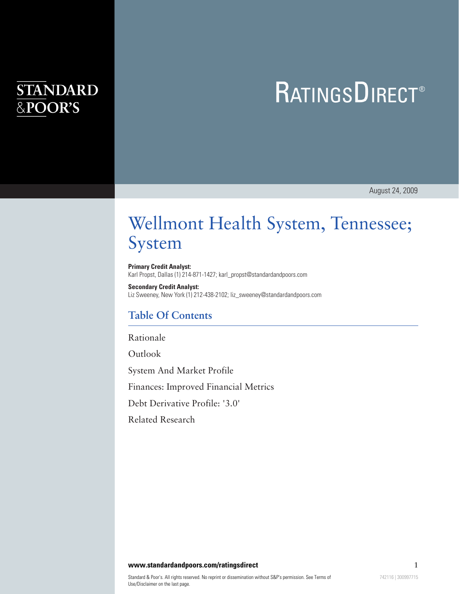# **STANDARD** &POOR'S

# RATINGSDIRECT®

August 24, 2009

# Wellmont Health System, Tennessee; System

**Primary Credit Analyst:** Karl Propst, Dallas (1) 214-871-1427; karl\_propst@standardandpoors.com

**Secondary Credit Analyst:** Liz Sweeney, New York (1) 212-438-2102; liz\_sweeney@standardandpoors.com

# **Table Of Contents**

Rationale

Outlook

System And Market Profile

Finances: Improved Financial Metrics

Debt Derivative Profile: '3.0'

Related Research

#### **www.standardandpoors.com/ratingsdirect** 1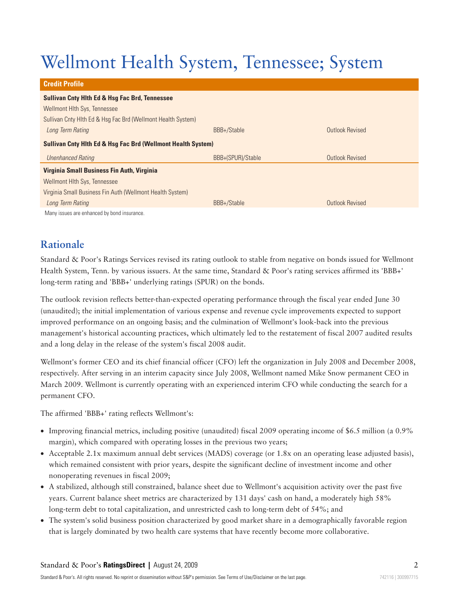# Wellmont Health System, Tennessee; System

| <b>Credit Profile</b>                                                   |                   |                        |
|-------------------------------------------------------------------------|-------------------|------------------------|
| <b>Sullivan Cnty Hith Ed &amp; Hsg Fac Brd, Tennessee</b>               |                   |                        |
| Wellmont Hith Sys, Tennessee                                            |                   |                        |
| Sullivan Cnty HIth Ed & Hsg Fac Brd (Wellmont Health System)            |                   |                        |
| Long Term Rating                                                        | BBB+/Stable       | Outlook Revised        |
| <b>Sullivan Cnty Hith Ed &amp; Hsg Fac Brd (Wellmont Health System)</b> |                   |                        |
| <b>Unenhanced Rating</b>                                                | BBB+(SPUR)/Stable | <b>Outlook Revised</b> |
| Virginia Small Business Fin Auth, Virginia                              |                   |                        |
|                                                                         |                   |                        |
| Wellmont Hith Sys, Tennessee                                            |                   |                        |
| Virginia Small Business Fin Auth (Wellmont Health System)               |                   |                        |
| Long Term Rating                                                        | BBB+/Stable       | Outlook Revised        |

# **Rationale**

Standard & Poor's Ratings Services revised its rating outlook to stable from negative on bonds issued for Wellmont Health System, Tenn. by various issuers. At the same time, Standard & Poor's rating services affirmed its 'BBB+' long-term rating and 'BBB+' underlying ratings (SPUR) on the bonds.

The outlook revision reflects better-than-expected operating performance through the fiscal year ended June 30 (unaudited); the initial implementation of various expense and revenue cycle improvements expected to support improved performance on an ongoing basis; and the culmination of Wellmont's look-back into the previous management's historical accounting practices, which ultimately led to the restatement of fiscal 2007 audited results and a long delay in the release of the system's fiscal 2008 audit.

Wellmont's former CEO and its chief financial officer (CFO) left the organization in July 2008 and December 2008, respectively. After serving in an interim capacity since July 2008, Wellmont named Mike Snow permanent CEO in March 2009. Wellmont is currently operating with an experienced interim CFO while conducting the search for a permanent CFO.

The affirmed 'BBB+' rating reflects Wellmont's:

- Improving financial metrics, including positive (unaudited) fiscal 2009 operating income of \$6.5 million (a 0.9% margin), which compared with operating losses in the previous two years;
- Acceptable 2.1x maximum annual debt services (MADS) coverage (or 1.8x on an operating lease adjusted basis), which remained consistent with prior years, despite the significant decline of investment income and other nonoperating revenues in fiscal 2009;
- A stabilized, although still constrained, balance sheet due to Wellmont's acquisition activity over the past five years. Current balance sheet metrics are characterized by 131 days' cash on hand, a moderately high 58% long-term debt to total capitalization, and unrestricted cash to long-term debt of 54%; and
- The system's solid business position characterized by good market share in a demographically favorable region that is largely dominated by two health care systems that have recently become more collaborative.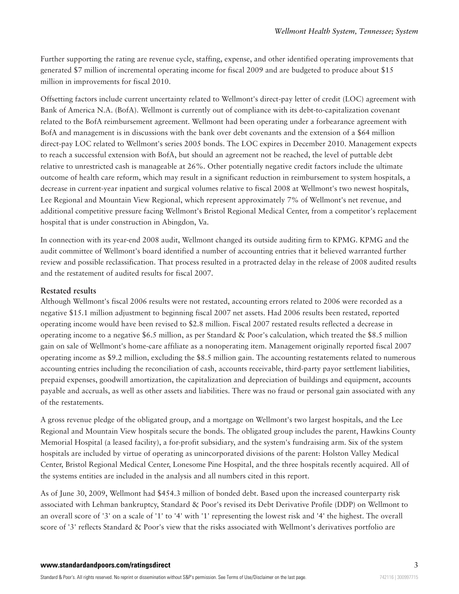Further supporting the rating are revenue cycle, staffing, expense, and other identified operating improvements that generated \$7 million of incremental operating income for fiscal 2009 and are budgeted to produce about \$15 million in improvements for fiscal 2010.

Offsetting factors include current uncertainty related to Wellmont's direct-pay letter of credit (LOC) agreement with Bank of America N.A. (BofA). Wellmont is currently out of compliance with its debt-to-capitalization covenant related to the BofA reimbursement agreement. Wellmont had been operating under a forbearance agreement with BofA and management is in discussions with the bank over debt covenants and the extension of a \$64 million direct-pay LOC related to Wellmont's series 2005 bonds. The LOC expires in December 2010. Management expects to reach a successful extension with BofA, but should an agreement not be reached, the level of puttable debt relative to unrestricted cash is manageable at 26%. Other potentially negative credit factors include the ultimate outcome of health care reform, which may result in a significant reduction in reimbursement to system hospitals, a decrease in current-year inpatient and surgical volumes relative to fiscal 2008 at Wellmont's two newest hospitals, Lee Regional and Mountain View Regional, which represent approximately 7% of Wellmont's net revenue, and additional competitive pressure facing Wellmont's Bristol Regional Medical Center, from a competitor's replacement hospital that is under construction in Abingdon, Va.

In connection with its year-end 2008 audit, Wellmont changed its outside auditing firm to KPMG. KPMG and the audit committee of Wellmont's board identified a number of accounting entries that it believed warranted further review and possible reclassification. That process resulted in a protracted delay in the release of 2008 audited results and the restatement of audited results for fiscal 2007.

#### **Restated results**

Although Wellmont's fiscal 2006 results were not restated, accounting errors related to 2006 were recorded as a negative \$15.1 million adjustment to beginning fiscal 2007 net assets. Had 2006 results been restated, reported operating income would have been revised to \$2.8 million. Fiscal 2007 restated results reflected a decrease in operating income to a negative \$6.5 million, as per Standard & Poor's calculation, which treated the \$8.5 million gain on sale of Wellmont's home-care affiliate as a nonoperating item. Management originally reported fiscal 2007 operating income as \$9.2 million, excluding the \$8.5 million gain. The accounting restatements related to numerous accounting entries including the reconciliation of cash, accounts receivable, third-party payor settlement liabilities, prepaid expenses, goodwill amortization, the capitalization and depreciation of buildings and equipment, accounts payable and accruals, as well as other assets and liabilities. There was no fraud or personal gain associated with any of the restatements.

A gross revenue pledge of the obligated group, and a mortgage on Wellmont's two largest hospitals, and the Lee Regional and Mountain View hospitals secure the bonds. The obligated group includes the parent, Hawkins County Memorial Hospital (a leased facility), a for-profit subsidiary, and the system's fundraising arm. Six of the system hospitals are included by virtue of operating as unincorporated divisions of the parent: Holston Valley Medical Center, Bristol Regional Medical Center, Lonesome Pine Hospital, and the three hospitals recently acquired. All of the systems entities are included in the analysis and all numbers cited in this report.

As of June 30, 2009, Wellmont had \$454.3 million of bonded debt. Based upon the increased counterparty risk associated with Lehman bankruptcy, Standard & Poor's revised its Debt Derivative Profile (DDP) on Wellmont to an overall score of '3' on a scale of '1' to '4' with '1' representing the lowest risk and '4' the highest. The overall score of '3' reflects Standard & Poor's view that the risks associated with Wellmont's derivatives portfolio are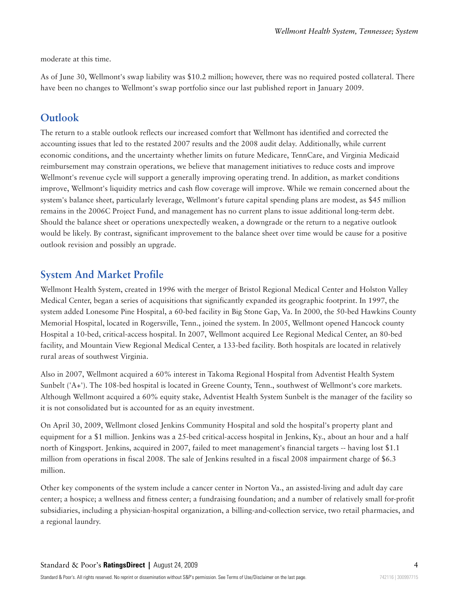moderate at this time.

As of June 30, Wellmont's swap liability was \$10.2 million; however, there was no required posted collateral. There have been no changes to Wellmont's swap portfolio since our last published report in January 2009.

# **Outlook**

The return to a stable outlook reflects our increased comfort that Wellmont has identified and corrected the accounting issues that led to the restated 2007 results and the 2008 audit delay. Additionally, while current economic conditions, and the uncertainty whether limits on future Medicare, TennCare, and Virginia Medicaid reimbursement may constrain operations, we believe that management initiatives to reduce costs and improve Wellmont's revenue cycle will support a generally improving operating trend. In addition, as market conditions improve, Wellmont's liquidity metrics and cash flow coverage will improve. While we remain concerned about the system's balance sheet, particularly leverage, Wellmont's future capital spending plans are modest, as \$45 million remains in the 2006C Project Fund, and management has no current plans to issue additional long-term debt. Should the balance sheet or operations unexpectedly weaken, a downgrade or the return to a negative outlook would be likely. By contrast, significant improvement to the balance sheet over time would be cause for a positive outlook revision and possibly an upgrade.

# **System And Market Profile**

Wellmont Health System, created in 1996 with the merger of Bristol Regional Medical Center and Holston Valley Medical Center, began a series of acquisitions that significantly expanded its geographic footprint. In 1997, the system added Lonesome Pine Hospital, a 60-bed facility in Big Stone Gap, Va. In 2000, the 50-bed Hawkins County Memorial Hospital, located in Rogersville, Tenn., joined the system. In 2005, Wellmont opened Hancock county Hospital a 10-bed, critical-access hospital. In 2007, Wellmont acquired Lee Regional Medical Center, an 80-bed facility, and Mountain View Regional Medical Center, a 133-bed facility. Both hospitals are located in relatively rural areas of southwest Virginia.

Also in 2007, Wellmont acquired a 60% interest in Takoma Regional Hospital from Adventist Health System Sunbelt ('A+'). The 108-bed hospital is located in Greene County, Tenn., southwest of Wellmont's core markets. Although Wellmont acquired a 60% equity stake, Adventist Health System Sunbelt is the manager of the facility so it is not consolidated but is accounted for as an equity investment.

On April 30, 2009, Wellmont closed Jenkins Community Hospital and sold the hospital's property plant and equipment for a \$1 million. Jenkins was a 25-bed critical-access hospital in Jenkins, Ky., about an hour and a half north of Kingsport. Jenkins, acquired in 2007, failed to meet management's financial targets -- having lost \$1.1 million from operations in fiscal 2008. The sale of Jenkins resulted in a fiscal 2008 impairment charge of \$6.3 million.

Other key components of the system include a cancer center in Norton Va., an assisted-living and adult day care center; a hospice; a wellness and fitness center; a fundraising foundation; and a number of relatively small for-profit subsidiaries, including a physician-hospital organization, a billing-and-collection service, two retail pharmacies, and a regional laundry.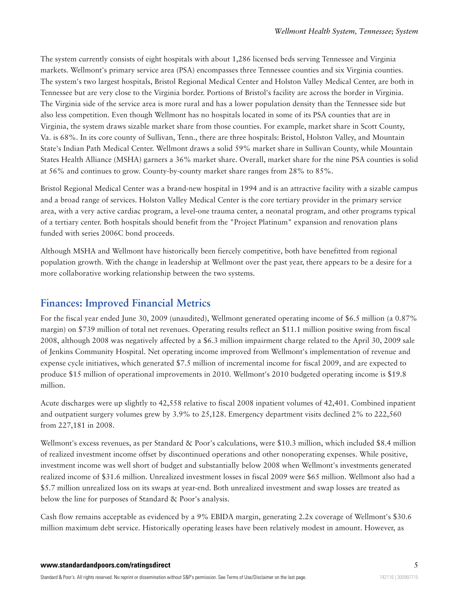The system currently consists of eight hospitals with about 1,286 licensed beds serving Tennessee and Virginia markets. Wellmont's primary service area (PSA) encompasses three Tennessee counties and six Virginia counties. The system's two largest hospitals, Bristol Regional Medical Center and Holston Valley Medical Center, are both in Tennessee but are very close to the Virginia border. Portions of Bristol's facility are across the border in Virginia. The Virginia side of the service area is more rural and has a lower population density than the Tennessee side but also less competition. Even though Wellmont has no hospitals located in some of its PSA counties that are in Virginia, the system draws sizable market share from those counties. For example, market share in Scott County, Va. is 68%. In its core county of Sullivan, Tenn., there are three hospitals: Bristol, Holston Valley, and Mountain State's Indian Path Medical Center. Wellmont draws a solid 59% market share in Sullivan County, while Mountain States Health Alliance (MSHA) garners a 36% market share. Overall, market share for the nine PSA counties is solid at 56% and continues to grow. County-by-county market share ranges from 28% to 85%.

Bristol Regional Medical Center was a brand-new hospital in 1994 and is an attractive facility with a sizable campus and a broad range of services. Holston Valley Medical Center is the core tertiary provider in the primary service area, with a very active cardiac program, a level-one trauma center, a neonatal program, and other programs typical of a tertiary center. Both hospitals should benefit from the "Project Platinum" expansion and renovation plans funded with series 2006C bond proceeds.

Although MSHA and Wellmont have historically been fiercely competitive, both have benefitted from regional population growth. With the change in leadership at Wellmont over the past year, there appears to be a desire for a more collaborative working relationship between the two systems.

### **Finances: Improved Financial Metrics**

For the fiscal year ended June 30, 2009 (unaudited), Wellmont generated operating income of \$6.5 million (a 0.87% margin) on \$739 million of total net revenues. Operating results reflect an \$11.1 million positive swing from fiscal 2008, although 2008 was negatively affected by a \$6.3 million impairment charge related to the April 30, 2009 sale of Jenkins Community Hospital. Net operating income improved from Wellmont's implementation of revenue and expense cycle initiatives, which generated \$7.5 million of incremental income for fiscal 2009, and are expected to produce \$15 million of operational improvements in 2010. Wellmont's 2010 budgeted operating income is \$19.8 million.

Acute discharges were up slightly to 42,558 relative to fiscal 2008 inpatient volumes of 42,401. Combined inpatient and outpatient surgery volumes grew by 3.9% to 25,128. Emergency department visits declined 2% to 222,560 from 227,181 in 2008.

Wellmont's excess revenues, as per Standard & Poor's calculations, were \$10.3 million, which included \$8.4 million of realized investment income offset by discontinued operations and other nonoperating expenses. While positive, investment income was well short of budget and substantially below 2008 when Wellmont's investments generated realized income of \$31.6 million. Unrealized investment losses in fiscal 2009 were \$65 million. Wellmont also had a \$5.7 million unrealized loss on its swaps at year-end. Both unrealized investment and swap losses are treated as below the line for purposes of Standard & Poor's analysis.

Cash flow remains acceptable as evidenced by a 9% EBIDA margin, generating 2.2x coverage of Wellmont's \$30.6 million maximum debt service. Historically operating leases have been relatively modest in amount. However, as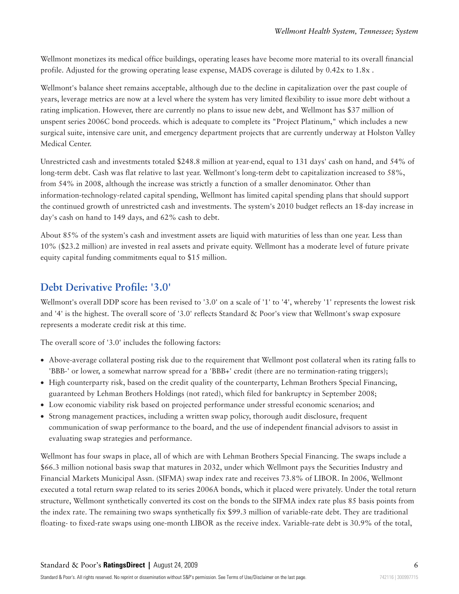Wellmont monetizes its medical office buildings, operating leases have become more material to its overall financial profile. Adjusted for the growing operating lease expense, MADS coverage is diluted by 0.42x to 1.8x .

Wellmont's balance sheet remains acceptable, although due to the decline in capitalization over the past couple of years, leverage metrics are now at a level where the system has very limited flexibility to issue more debt without a rating implication. However, there are currently no plans to issue new debt, and Wellmont has \$37 million of unspent series 2006C bond proceeds. which is adequate to complete its "Project Platinum," which includes a new surgical suite, intensive care unit, and emergency department projects that are currently underway at Holston Valley Medical Center.

Unrestricted cash and investments totaled \$248.8 million at year-end, equal to 131 days' cash on hand, and 54% of long-term debt. Cash was flat relative to last year. Wellmont's long-term debt to capitalization increased to 58%, from 54% in 2008, although the increase was strictly a function of a smaller denominator. Other than information-technology-related capital spending, Wellmont has limited capital spending plans that should support the continued growth of unrestricted cash and investments. The system's 2010 budget reflects an 18-day increase in day's cash on hand to 149 days, and 62% cash to debt.

About 85% of the system's cash and investment assets are liquid with maturities of less than one year. Less than 10% (\$23.2 million) are invested in real assets and private equity. Wellmont has a moderate level of future private equity capital funding commitments equal to \$15 million.

# **Debt Derivative Profile: '3.0'**

Wellmont's overall DDP score has been revised to '3.0' on a scale of '1' to '4', whereby '1' represents the lowest risk and '4' is the highest. The overall score of '3.0' reflects Standard & Poor's view that Wellmont's swap exposure represents a moderate credit risk at this time.

The overall score of '3.0' includes the following factors:

- Above-average collateral posting risk due to the requirement that Wellmont post collateral when its rating falls to 'BBB-' or lower, a somewhat narrow spread for a 'BBB+' credit (there are no termination-rating triggers);
- High counterparty risk, based on the credit quality of the counterparty, Lehman Brothers Special Financing, guaranteed by Lehman Brothers Holdings (not rated), which filed for bankruptcy in September 2008;
- Low economic viability risk based on projected performance under stressful economic scenarios; and
- Strong management practices, including a written swap policy, thorough audit disclosure, frequent communication of swap performance to the board, and the use of independent financial advisors to assist in evaluating swap strategies and performance.

Wellmont has four swaps in place, all of which are with Lehman Brothers Special Financing. The swaps include a \$66.3 million notional basis swap that matures in 2032, under which Wellmont pays the Securities Industry and Financial Markets Municipal Assn. (SIFMA) swap index rate and receives 73.8% of LIBOR. In 2006, Wellmont executed a total return swap related to its series 2006A bonds, which it placed were privately. Under the total return structure, Wellmont synthetically converted its cost on the bonds to the SIFMA index rate plus 85 basis points from the index rate. The remaining two swaps synthetically fix \$99.3 million of variable-rate debt. They are traditional floating- to fixed-rate swaps using one-month LIBOR as the receive index. Variable-rate debt is 30.9% of the total,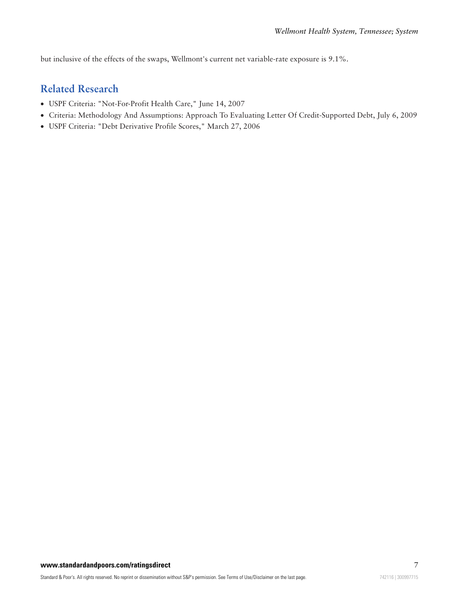but inclusive of the effects of the swaps, Wellmont's current net variable-rate exposure is 9.1%.

# **Related Research**

- USPF Criteria: "Not-For-Profit Health Care," June 14, 2007
- Criteria: Methodology And Assumptions: Approach To Evaluating Letter Of Credit-Supported Debt, July 6, 2009
- USPF Criteria: "Debt Derivative Profile Scores," March 27, 2006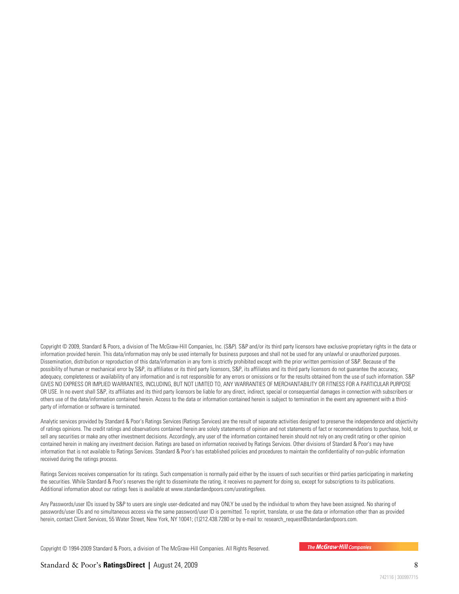Copyright © 2009, Standard & Poors, a division of The McGraw-Hill Companies, Inc. (S&P). S&P and/or its third party licensors have exclusive proprietary rights in the data or information provided herein. This data/information may only be used internally for business purposes and shall not be used for any unlawful or unauthorized purposes. Dissemination, distribution or reproduction of this data/information in any form is strictly prohibited except with the prior written permission of S&P. Because of the possibility of human or mechanical error by S&P, its affiliates or its third party licensors, S&P, its affiliates and its third party licensors do not guarantee the accuracy, adequacy, completeness or availability of any information and is not responsible for any errors or omissions or for the results obtained from the use of such information. S&P GIVES NO EXPRESS OR IMPLIED WARRANTIES, INCLUDING, BUT NOT LIMITED TO, ANY WARRANTIES OF MERCHANTABILITY OR FITNESS FOR A PARTICULAR PURPOSE OR USE. In no event shall S&P, its affiliates and its third party licensors be liable for any direct, indirect, special or consequential damages in connection with subscribers or others use of the data/information contained herein. Access to the data or information contained herein is subject to termination in the event any agreement with a thirdparty of information or software is terminated.

Analytic services provided by Standard & Poor's Ratings Services (Ratings Services) are the result of separate activities designed to preserve the independence and objectivity of ratings opinions. The credit ratings and observations contained herein are solely statements of opinion and not statements of fact or recommendations to purchase, hold, or sell any securities or make any other investment decisions. Accordingly, any user of the information contained herein should not rely on any credit rating or other opinion contained herein in making any investment decision. Ratings are based on information received by Ratings Services. Other divisions of Standard & Poor's may have information that is not available to Ratings Services. Standard & Poor's has established policies and procedures to maintain the confidentiality of non-public information received during the ratings process.

Ratings Services receives compensation for its ratings. Such compensation is normally paid either by the issuers of such securities or third parties participating in marketing the securities. While Standard & Poor's reserves the right to disseminate the rating, it receives no payment for doing so, except for subscriptions to its publications. Additional information about our ratings fees is available at www.standardandpoors.com/usratingsfees.

Any Passwords/user IDs issued by S&P to users are single user-dedicated and may ONLY be used by the individual to whom they have been assigned. No sharing of passwords/user IDs and no simultaneous access via the same password/user ID is permitted. To reprint, translate, or use the data or information other than as provided herein, contact Client Services, 55 Water Street, New York, NY 10041; (1)212.438.7280 or by e-mail to: research\_request@standardandpoors.com.

Copyright © 1994-2009 Standard & Poors, a division of The McGraw-Hill Companies. All Rights Reserved.

#### Standard & Poor's **RatingsDirect** | August 24, 2009 8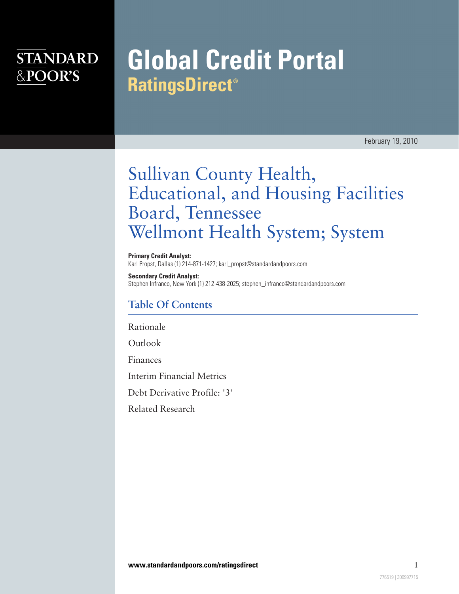# **STANDARD** &POOR'S

# **Global Credit Portal RatingsDirect<sup>®</sup>**

February 19, 2010

# Sullivan County Health, Educational, and Housing Facilities Board, Tennessee Wellmont Health System; System

**Primary Credit Analyst:** Karl Propst, Dallas (1) 214-871-1427; karl\_propst@standardandpoors.com

**Secondary Credit Analyst:** Stephen Infranco, New York (1) 212-438-2025; stephen\_infranco@standardandpoors.com

# **Table Of Contents**

Rationale

**Outlook** 

Finances

Interim Financial Metrics

Debt Derivative Profile: '3'

Related Research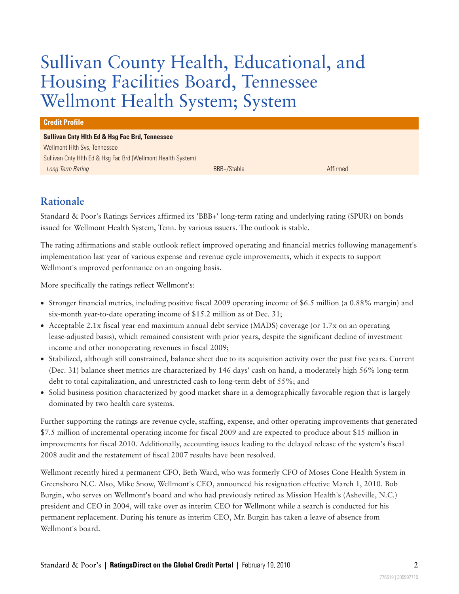# Sullivan County Health, Educational, and Housing Facilities Board, Tennessee Wellmont Health System; System

#### **Credit Profile**

#### **Sullivan Cnty Hlth Ed & Hsg Fac Brd, Tennessee**

Wellmont Hlth Sys, Tennessee Sullivan Cnty Hlth Ed & Hsg Fac Brd (Wellmont Health System) Long Term Rating **Affirmed** BBB+/Stable Affirmed BBB+/Stable Affirmed Affirmed Affirmed

# **Rationale**

Standard & Poor's Ratings Services affirmed its 'BBB+' long-term rating and underlying rating (SPUR) on bonds issued for Wellmont Health System, Tenn. by various issuers. The outlook is stable.

The rating affirmations and stable outlook reflect improved operating and financial metrics following management's implementation last year of various expense and revenue cycle improvements, which it expects to support Wellmont's improved performance on an ongoing basis.

More specifically the ratings reflect Wellmont's:

- Stronger financial metrics, including positive fiscal 2009 operating income of \$6.5 million (a 0.88% margin) and six-month year-to-date operating income of \$15.2 million as of Dec. 31;
- Acceptable 2.1x fiscal year-end maximum annual debt service (MADS) coverage (or 1.7x on an operating lease-adjusted basis), which remained consistent with prior years, despite the significant decline of investment income and other nonoperating revenues in fiscal 2009;
- Stabilized, although still constrained, balance sheet due to its acquisition activity over the past five years. Current (Dec. 31) balance sheet metrics are characterized by 146 days' cash on hand, a moderately high 56% long-term debt to total capitalization, and unrestricted cash to long-term debt of 55%; and
- Solid business position characterized by good market share in a demographically favorable region that is largely dominated by two health care systems.

Further supporting the ratings are revenue cycle, staffing, expense, and other operating improvements that generated \$7.5 million of incremental operating income for fiscal 2009 and are expected to produce about \$15 million in improvements for fiscal 2010. Additionally, accounting issues leading to the delayed release of the system's fiscal 2008 audit and the restatement of fiscal 2007 results have been resolved.

Wellmont recently hired a permanent CFO, Beth Ward, who was formerly CFO of Moses Cone Health System in Greensboro N.C. Also, Mike Snow, Wellmont's CEO, announced his resignation effective March 1, 2010. Bob Burgin, who serves on Wellmont's board and who had previously retired as Mission Health's (Asheville, N.C.) president and CEO in 2004, will take over as interim CEO for Wellmont while a search is conducted for his permanent replacement. During his tenure as interim CEO, Mr. Burgin has taken a leave of absence from Wellmont's board.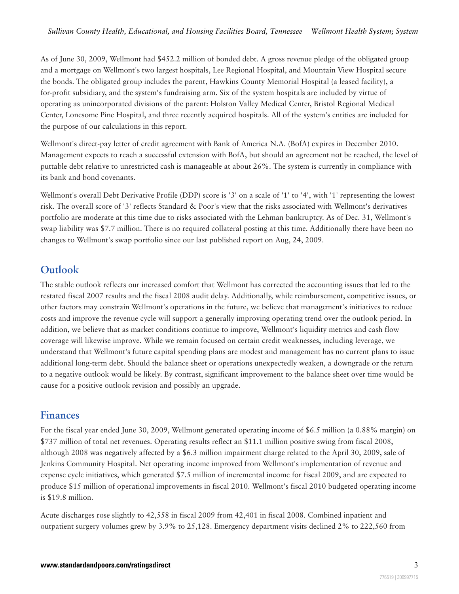As of June 30, 2009, Wellmont had \$452.2 million of bonded debt. A gross revenue pledge of the obligated group and a mortgage on Wellmont's two largest hospitals, Lee Regional Hospital, and Mountain View Hospital secure the bonds. The obligated group includes the parent, Hawkins County Memorial Hospital (a leased facility), a for-profit subsidiary, and the system's fundraising arm. Six of the system hospitals are included by virtue of operating as unincorporated divisions of the parent: Holston Valley Medical Center, Bristol Regional Medical Center, Lonesome Pine Hospital, and three recently acquired hospitals. All of the system's entities are included for the purpose of our calculations in this report.

Wellmont's direct-pay letter of credit agreement with Bank of America N.A. (BofA) expires in December 2010. Management expects to reach a successful extension with BofA, but should an agreement not be reached, the level of puttable debt relative to unrestricted cash is manageable at about 26%. The system is currently in compliance with its bank and bond covenants.

Wellmont's overall Debt Derivative Profile (DDP) score is '3' on a scale of '1' to '4', with '1' representing the lowest risk. The overall score of '3' reflects Standard & Poor's view that the risks associated with Wellmont's derivatives portfolio are moderate at this time due to risks associated with the Lehman bankruptcy. As of Dec. 31, Wellmont's swap liability was \$7.7 million. There is no required collateral posting at this time. Additionally there have been no changes to Wellmont's swap portfolio since our last published report on Aug, 24, 2009.

## **Outlook**

The stable outlook reflects our increased comfort that Wellmont has corrected the accounting issues that led to the restated fiscal 2007 results and the fiscal 2008 audit delay. Additionally, while reimbursement, competitive issues, or other factors may constrain Wellmont's operations in the future, we believe that management's initiatives to reduce costs and improve the revenue cycle will support a generally improving operating trend over the outlook period. In addition, we believe that as market conditions continue to improve, Wellmont's liquidity metrics and cash flow coverage will likewise improve. While we remain focused on certain credit weaknesses, including leverage, we understand that Wellmont's future capital spending plans are modest and management has no current plans to issue additional long-term debt. Should the balance sheet or operations unexpectedly weaken, a downgrade or the return to a negative outlook would be likely. By contrast, significant improvement to the balance sheet over time would be cause for a positive outlook revision and possibly an upgrade.

### **Finances**

For the fiscal year ended June 30, 2009, Wellmont generated operating income of \$6.5 million (a 0.88% margin) on \$737 million of total net revenues. Operating results reflect an \$11.1 million positive swing from fiscal 2008, although 2008 was negatively affected by a \$6.3 million impairment charge related to the April 30, 2009, sale of Jenkins Community Hospital. Net operating income improved from Wellmont's implementation of revenue and expense cycle initiatives, which generated \$7.5 million of incremental income for fiscal 2009, and are expected to produce \$15 million of operational improvements in fiscal 2010. Wellmont's fiscal 2010 budgeted operating income is \$19.8 million.

Acute discharges rose slightly to 42,558 in fiscal 2009 from 42,401 in fiscal 2008. Combined inpatient and outpatient surgery volumes grew by 3.9% to 25,128. Emergency department visits declined 2% to 222,560 from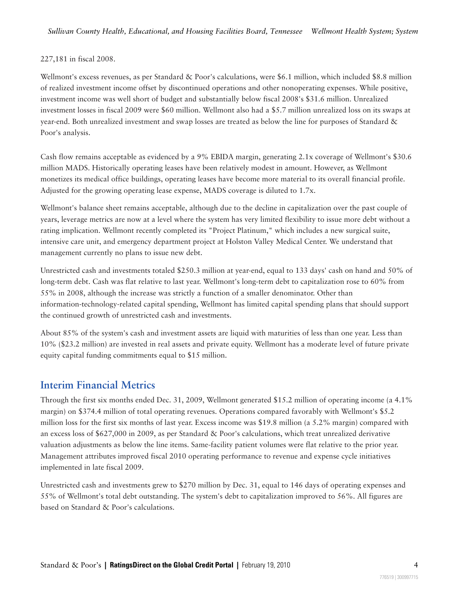#### 227,181 in fiscal 2008.

Wellmont's excess revenues, as per Standard & Poor's calculations, were \$6.1 million, which included \$8.8 million of realized investment income offset by discontinued operations and other nonoperating expenses. While positive, investment income was well short of budget and substantially below fiscal 2008's \$31.6 million. Unrealized investment losses in fiscal 2009 were \$60 million. Wellmont also had a \$5.7 million unrealized loss on its swaps at year-end. Both unrealized investment and swap losses are treated as below the line for purposes of Standard & Poor's analysis.

Cash flow remains acceptable as evidenced by a 9% EBIDA margin, generating 2.1x coverage of Wellmont's \$30.6 million MADS. Historically operating leases have been relatively modest in amount. However, as Wellmont monetizes its medical office buildings, operating leases have become more material to its overall financial profile. Adjusted for the growing operating lease expense, MADS coverage is diluted to 1.7x.

Wellmont's balance sheet remains acceptable, although due to the decline in capitalization over the past couple of years, leverage metrics are now at a level where the system has very limited flexibility to issue more debt without a rating implication. Wellmont recently completed its "Project Platinum," which includes a new surgical suite, intensive care unit, and emergency department project at Holston Valley Medical Center. We understand that management currently no plans to issue new debt.

Unrestricted cash and investments totaled \$250.3 million at year-end, equal to 133 days' cash on hand and 50% of long-term debt. Cash was flat relative to last year. Wellmont's long-term debt to capitalization rose to 60% from 55% in 2008, although the increase was strictly a function of a smaller denominator. Other than information-technology-related capital spending, Wellmont has limited capital spending plans that should support the continued growth of unrestricted cash and investments.

About 85% of the system's cash and investment assets are liquid with maturities of less than one year. Less than 10% (\$23.2 million) are invested in real assets and private equity. Wellmont has a moderate level of future private equity capital funding commitments equal to \$15 million.

## **Interim Financial Metrics**

Through the first six months ended Dec. 31, 2009, Wellmont generated \$15.2 million of operating income (a 4.1% margin) on \$374.4 million of total operating revenues. Operations compared favorably with Wellmont's \$5.2 million loss for the first six months of last year. Excess income was \$19.8 million (a 5.2% margin) compared with an excess loss of \$627,000 in 2009, as per Standard & Poor's calculations, which treat unrealized derivative valuation adjustments as below the line items. Same-facility patient volumes were flat relative to the prior year. Management attributes improved fiscal 2010 operating performance to revenue and expense cycle initiatives implemented in late fiscal 2009.

Unrestricted cash and investments grew to \$270 million by Dec. 31, equal to 146 days of operating expenses and 55% of Wellmont's total debt outstanding. The system's debt to capitalization improved to 56%. All figures are based on Standard & Poor's calculations.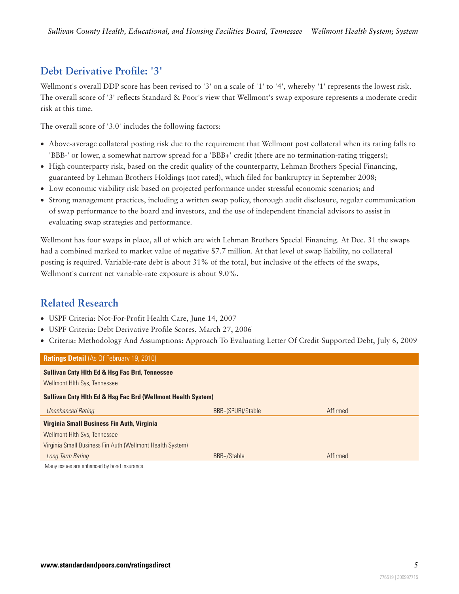# **Debt Derivative Profile: '3'**

Wellmont's overall DDP score has been revised to '3' on a scale of '1' to '4', whereby '1' represents the lowest risk. The overall score of '3' reflects Standard & Poor's view that Wellmont's swap exposure represents a moderate credit risk at this time.

The overall score of '3.0' includes the following factors:

- Above-average collateral posting risk due to the requirement that Wellmont post collateral when its rating falls to 'BBB-' or lower, a somewhat narrow spread for a 'BBB+' credit (there are no termination-rating triggers);
- High counterparty risk, based on the credit quality of the counterparty, Lehman Brothers Special Financing, guaranteed by Lehman Brothers Holdings (not rated), which filed for bankruptcy in September 2008;
- Low economic viability risk based on projected performance under stressful economic scenarios; and
- Strong management practices, including a written swap policy, thorough audit disclosure, regular communication of swap performance to the board and investors, and the use of independent financial advisors to assist in evaluating swap strategies and performance.

Wellmont has four swaps in place, all of which are with Lehman Brothers Special Financing. At Dec. 31 the swaps had a combined marked to market value of negative \$7.7 million. At that level of swap liability, no collateral posting is required. Variable-rate debt is about 31% of the total, but inclusive of the effects of the swaps, Wellmont's current net variable-rate exposure is about 9.0%.

# **Related Research**

- USPF Criteria: Not-For-Profit Health Care, June 14, 2007
- USPF Criteria: Debt Derivative Profile Scores, March 27, 2006
- Criteria: Methodology And Assumptions: Approach To Evaluating Letter Of Credit-Supported Debt, July 6, 2009

| <b>Ratings Detail (As Of February 19, 2010)</b>                                           |                   |          |
|-------------------------------------------------------------------------------------------|-------------------|----------|
| <b>Sullivan Cnty Hith Ed &amp; Hsg Fac Brd, Tennessee</b><br>Wellmont Hith Sys, Tennessee |                   |          |
| <b>Sullivan Cnty Hith Ed &amp; Hsg Fac Brd (Wellmont Health System)</b>                   |                   |          |
| Unenhanced Rating                                                                         | BBB+(SPUR)/Stable | Affirmed |
| Virginia Small Business Fin Auth, Virginia                                                |                   |          |
| Wellmont Hith Sys, Tennessee                                                              |                   |          |
| Virginia Small Business Fin Auth (Wellmont Health System)                                 |                   |          |
| Long Term Rating                                                                          | BBB+/Stable       | Affirmed |
| Many issues are enhanced by bond insurance.                                               |                   |          |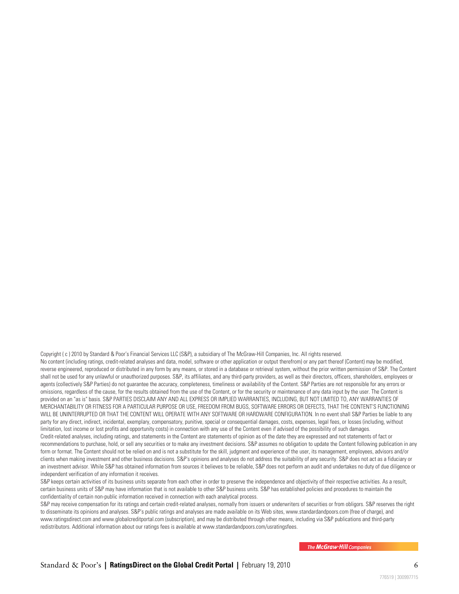Copyright ( c ) 2010 by Standard & Poor's Financial Services LLC (S&P), a subsidiary of The McGraw-Hill Companies, Inc. All rights reserved.

Credit-related analyses, including ratings, and statements in the Content are statements of opinion as of the date they are expressed and not statements of fact or recommendations to purchase, hold, or sell any securities or to make any investment decisions. S&P assumes no obligation to update the Content following publication in any form or format. The Content should not be relied on and is not a substitute for the skill, judgment and experience of the user, its management, employees, advisors and/or clients when making investment and other business decisions. S&P's opinions and analyses do not address the suitability of any security. S&P does not act as a fiduciary or an investment advisor. While S&P has obtained information from sources it believes to be reliable, S&P does not perform an audit and undertakes no duty of due diligence or independent verification of any information it receives. No content (including ratings, credit-related analyses and data, model, software or other application or output therefrom) or any part thereof (Content) may be modified, reverse engineered, reproduced or distributed in any form by any means, or stored in a database or retrieval system, without the prior written permission of S&P. The Content shall not be used for any unlawful or unauthorized purposes. S&P, its affiliates, and any third-party providers, as well as their directors, officers, shareholders, employees or agents (collectively S&P Parties) do not guarantee the accuracy, completeness, timeliness or availability of the Content. S&P Parties are not responsible for any errors or omissions, regardless of the cause, for the results obtained from the use of the Content, or for the security or maintenance of any data input by the user. The Content is provided on an "as is" basis. S&P PARTIES DISCLAIM ANY AND ALL EXPRESS OR IMPLIED WARRANTIES, INCLUDING, BUT NOT LIMITED TO, ANY WARRANTIES OF MERCHANTABILITY OR FITNESS FOR A PARTICULAR PURPOSE OR USE, FREEDOM FROM BUGS, SOFTWARE ERRORS OR DEFECTS, THAT THE CONTENT'S FUNCTIONING WILL BE UNINTERRUPTED OR THAT THE CONTENT WILL OPERATE WITH ANY SOFTWARE OR HARDWARE CONFIGURATION. In no event shall S&P Parties be liable to any party for any direct, indirect, incidental, exemplary, compensatory, punitive, special or consequential damages, costs, expenses, legal fees, or losses (including, without limitation, lost income or lost profits and opportunity costs) in connection with any use of the Content even if advised of the possibility of such damages.

S&P keeps certain activities of its business units separate from each other in order to preserve the independence and objectivity of their respective activities. As a result, certain business units of S&P may have information that is not available to other S&P business units. S&P has established policies and procedures to maintain the confidentiality of certain non-public information received in connection with each analytical process.

S&P may receive compensation for its ratings and certain credit-related analyses, normally from issuers or underwriters of securities or from obligors. S&P reserves the right to disseminate its opinions and analyses. S&P's public ratings and analyses are made available on its Web sites, www.standardandpoors.com (free of charge), and www.ratingsdirect.com and www.globalcreditportal.com (subscription), and may be distributed through other means, including via S&P publications and third-party redistributors. Additional information about our ratings fees is available at www.standardandpoors.com/usratingsfees.

The McGraw Hill Companies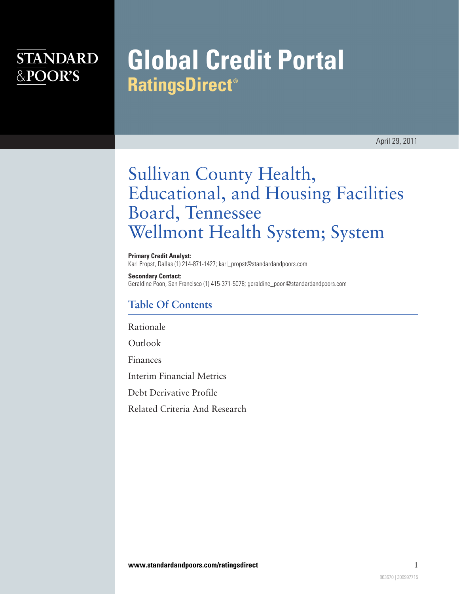# **STANDARD** &POOR'S

# **Global Credit Portal RatingsDirect<sup>®</sup>**

April 29, 2011

# Sullivan County Health, Educational, and Housing Facilities Board, Tennessee Wellmont Health System; System

**Primary Credit Analyst:** Karl Propst, Dallas (1) 214-871-1427; karl\_propst@standardandpoors.com

**Secondary Contact:** Geraldine Poon, San Francisco (1) 415-371-5078; geraldine\_poon@standardandpoors.com

# **Table Of Contents**

Rationale

**Outlook** 

Finances

Interim Financial Metrics

Debt Derivative Profile

Related Criteria And Research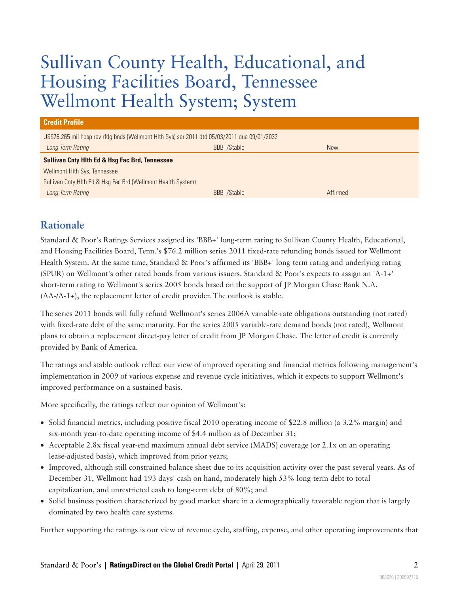# Sullivan County Health, Educational, and Housing Facilities Board, Tennessee Wellmont Health System; System

| <b>Credit Profile</b>                                                                        |             |            |
|----------------------------------------------------------------------------------------------|-------------|------------|
| US\$76.265 mil hosp rev rfdg bnds (Wellmont Hith Sys) ser 2011 dtd 05/03/2011 due 09/01/2032 |             |            |
| Long Term Rating                                                                             | BBB+/Stable | <b>New</b> |
| <b>Sullivan Cnty Hith Ed &amp; Hsg Fac Brd, Tennessee</b>                                    |             |            |
| Wellmont Hith Sys, Tennessee                                                                 |             |            |
| Sullivan Cnty Hlth Ed & Hsg Fac Brd (Wellmont Health System)                                 |             |            |
| Long Term Rating                                                                             | BBB+/Stable | Affirmed   |

## **Rationale**

Standard & Poor's Ratings Services assigned its 'BBB+' long-term rating to Sullivan County Health, Educational, and Housing Facilities Board, Tenn.'s \$76.2 million series 2011 fixed-rate refunding bonds issued for Wellmont Health System. At the same time, Standard & Poor's affirmed its 'BBB+' long-term rating and underlying rating (SPUR) on Wellmont's other rated bonds from various issuers. Standard & Poor's expects to assign an 'A-1+' short-term rating to Wellmont's series 2005 bonds based on the support of JP Morgan Chase Bank N.A. (AA-/A-1+), the replacement letter of credit provider. The outlook is stable.

The series 2011 bonds will fully refund Wellmont's series 2006A variable-rate obligations outstanding (not rated) with fixed-rate debt of the same maturity. For the series 2005 variable-rate demand bonds (not rated), Wellmont plans to obtain a replacement direct-pay letter of credit from JP Morgan Chase. The letter of credit is currently provided by Bank of America.

The ratings and stable outlook reflect our view of improved operating and financial metrics following management's implementation in 2009 of various expense and revenue cycle initiatives, which it expects to support Wellmont's improved performance on a sustained basis.

More specifically, the ratings reflect our opinion of Wellmont's:

- Solid financial metrics, including positive fiscal 2010 operating income of \$22.8 million (a 3.2% margin) and six-month year-to-date operating income of \$4.4 million as of December 31;
- Acceptable 2.8x fiscal year-end maximum annual debt service (MADS) coverage (or 2.1x on an operating lease-adjusted basis), which improved from prior years;
- Improved, although still constrained balance sheet due to its acquisition activity over the past several years. As of December 31, Wellmont had 193 days' cash on hand, moderately high 53% long-term debt to total capitalization, and unrestricted cash to long-term debt of 80%; and
- Solid business position characterized by good market share in a demographically favorable region that is largely dominated by two health care systems.

Further supporting the ratings is our view of revenue cycle, staffing, expense, and other operating improvements that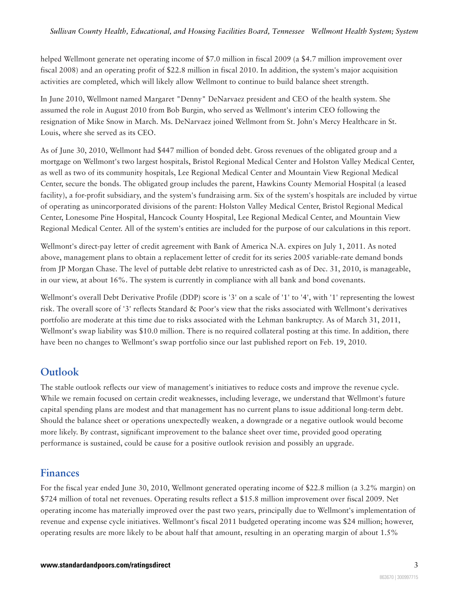helped Wellmont generate net operating income of \$7.0 million in fiscal 2009 (a \$4.7 million improvement over fiscal 2008) and an operating profit of \$22.8 million in fiscal 2010. In addition, the system's major acquisition activities are completed, which will likely allow Wellmont to continue to build balance sheet strength.

In June 2010, Wellmont named Margaret "Denny" DeNarvaez president and CEO of the health system. She assumed the role in August 2010 from Bob Burgin, who served as Wellmont's interim CEO following the resignation of Mike Snow in March. Ms. DeNarvaez joined Wellmont from St. John's Mercy Healthcare in St. Louis, where she served as its CEO.

As of June 30, 2010, Wellmont had \$447 million of bonded debt. Gross revenues of the obligated group and a mortgage on Wellmont's two largest hospitals, Bristol Regional Medical Center and Holston Valley Medical Center, as well as two of its community hospitals, Lee Regional Medical Center and Mountain View Regional Medical Center, secure the bonds. The obligated group includes the parent, Hawkins County Memorial Hospital (a leased facility), a for-profit subsidiary, and the system's fundraising arm. Six of the system's hospitals are included by virtue of operating as unincorporated divisions of the parent: Holston Valley Medical Center, Bristol Regional Medical Center, Lonesome Pine Hospital, Hancock County Hospital, Lee Regional Medical Center, and Mountain View Regional Medical Center. All of the system's entities are included for the purpose of our calculations in this report.

Wellmont's direct-pay letter of credit agreement with Bank of America N.A. expires on July 1, 2011. As noted above, management plans to obtain a replacement letter of credit for its series 2005 variable-rate demand bonds from JP Morgan Chase. The level of puttable debt relative to unrestricted cash as of Dec. 31, 2010, is manageable, in our view, at about 16%. The system is currently in compliance with all bank and bond covenants.

Wellmont's overall Debt Derivative Profile (DDP) score is '3' on a scale of '1' to '4', with '1' representing the lowest risk. The overall score of '3' reflects Standard & Poor's view that the risks associated with Wellmont's derivatives portfolio are moderate at this time due to risks associated with the Lehman bankruptcy. As of March 31, 2011, Wellmont's swap liability was \$10.0 million. There is no required collateral posting at this time. In addition, there have been no changes to Wellmont's swap portfolio since our last published report on Feb. 19, 2010.

# **Outlook**

The stable outlook reflects our view of management's initiatives to reduce costs and improve the revenue cycle. While we remain focused on certain credit weaknesses, including leverage, we understand that Wellmont's future capital spending plans are modest and that management has no current plans to issue additional long-term debt. Should the balance sheet or operations unexpectedly weaken, a downgrade or a negative outlook would become more likely. By contrast, significant improvement to the balance sheet over time, provided good operating performance is sustained, could be cause for a positive outlook revision and possibly an upgrade.

### **Finances**

For the fiscal year ended June 30, 2010, Wellmont generated operating income of \$22.8 million (a 3.2% margin) on \$724 million of total net revenues. Operating results reflect a \$15.8 million improvement over fiscal 2009. Net operating income has materially improved over the past two years, principally due to Wellmont's implementation of revenue and expense cycle initiatives. Wellmont's fiscal 2011 budgeted operating income was \$24 million; however, operating results are more likely to be about half that amount, resulting in an operating margin of about 1.5%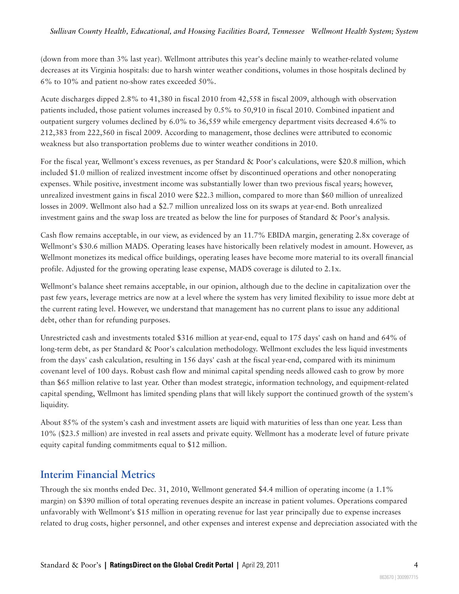#### *Sullivan County Health, Educational, and Housing Facilities Board, Tennessee Wellmont Health System; System*

(down from more than 3% last year). Wellmont attributes this year's decline mainly to weather-related volume decreases at its Virginia hospitals: due to harsh winter weather conditions, volumes in those hospitals declined by 6% to 10% and patient no-show rates exceeded 50%.

Acute discharges dipped 2.8% to 41,380 in fiscal 2010 from 42,558 in fiscal 2009, although with observation patients included, those patient volumes increased by 0.5% to 50,910 in fiscal 2010. Combined inpatient and outpatient surgery volumes declined by 6.0% to 36,559 while emergency department visits decreased 4.6% to 212,383 from 222,560 in fiscal 2009. According to management, those declines were attributed to economic weakness but also transportation problems due to winter weather conditions in 2010.

For the fiscal year, Wellmont's excess revenues, as per Standard & Poor's calculations, were \$20.8 million, which included \$1.0 million of realized investment income offset by discontinued operations and other nonoperating expenses. While positive, investment income was substantially lower than two previous fiscal years; however, unrealized investment gains in fiscal 2010 were \$22.3 million, compared to more than \$60 million of unrealized losses in 2009. Wellmont also had a \$2.7 million unrealized loss on its swaps at year-end. Both unrealized investment gains and the swap loss are treated as below the line for purposes of Standard & Poor's analysis.

Cash flow remains acceptable, in our view, as evidenced by an 11.7% EBIDA margin, generating 2.8x coverage of Wellmont's \$30.6 million MADS. Operating leases have historically been relatively modest in amount. However, as Wellmont monetizes its medical office buildings, operating leases have become more material to its overall financial profile. Adjusted for the growing operating lease expense, MADS coverage is diluted to 2.1x.

Wellmont's balance sheet remains acceptable, in our opinion, although due to the decline in capitalization over the past few years, leverage metrics are now at a level where the system has very limited flexibility to issue more debt at the current rating level. However, we understand that management has no current plans to issue any additional debt, other than for refunding purposes.

Unrestricted cash and investments totaled \$316 million at year-end, equal to 175 days' cash on hand and 64% of long-term debt, as per Standard & Poor's calculation methodology. Wellmont excludes the less liquid investments from the days' cash calculation, resulting in 156 days' cash at the fiscal year-end, compared with its minimum covenant level of 100 days. Robust cash flow and minimal capital spending needs allowed cash to grow by more than \$65 million relative to last year. Other than modest strategic, information technology, and equipment-related capital spending, Wellmont has limited spending plans that will likely support the continued growth of the system's liquidity.

About 85% of the system's cash and investment assets are liquid with maturities of less than one year. Less than 10% (\$23.5 million) are invested in real assets and private equity. Wellmont has a moderate level of future private equity capital funding commitments equal to \$12 million.

## **Interim Financial Metrics**

Through the six months ended Dec. 31, 2010, Wellmont generated \$4.4 million of operating income (a 1.1% margin) on \$390 million of total operating revenues despite an increase in patient volumes. Operations compared unfavorably with Wellmont's \$15 million in operating revenue for last year principally due to expense increases related to drug costs, higher personnel, and other expenses and interest expense and depreciation associated with the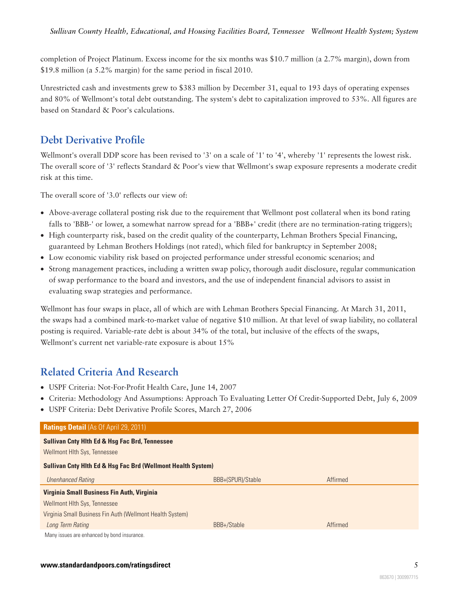completion of Project Platinum. Excess income for the six months was \$10.7 million (a 2.7% margin), down from \$19.8 million (a 5.2% margin) for the same period in fiscal 2010.

Unrestricted cash and investments grew to \$383 million by December 31, equal to 193 days of operating expenses and 80% of Wellmont's total debt outstanding. The system's debt to capitalization improved to 53%. All figures are based on Standard & Poor's calculations.

## **Debt Derivative Profile**

Wellmont's overall DDP score has been revised to '3' on a scale of '1' to '4', whereby '1' represents the lowest risk. The overall score of '3' reflects Standard & Poor's view that Wellmont's swap exposure represents a moderate credit risk at this time.

The overall score of '3.0' reflects our view of:

- Above-average collateral posting risk due to the requirement that Wellmont post collateral when its bond rating falls to 'BBB-' or lower, a somewhat narrow spread for a 'BBB+' credit (there are no termination-rating triggers);
- High counterparty risk, based on the credit quality of the counterparty, Lehman Brothers Special Financing, guaranteed by Lehman Brothers Holdings (not rated), which filed for bankruptcy in September 2008;
- Low economic viability risk based on projected performance under stressful economic scenarios; and
- Strong management practices, including a written swap policy, thorough audit disclosure, regular communication of swap performance to the board and investors, and the use of independent financial advisors to assist in evaluating swap strategies and performance.

Wellmont has four swaps in place, all of which are with Lehman Brothers Special Financing. At March 31, 2011, the swaps had a combined mark-to-market value of negative \$10 million. At that level of swap liability, no collateral posting is required. Variable-rate debt is about 34% of the total, but inclusive of the effects of the swaps, Wellmont's current net variable-rate exposure is about 15%

### **Related Criteria And Research**

- USPF Criteria: Not-For-Profit Health Care, June 14, 2007
- Criteria: Methodology And Assumptions: Approach To Evaluating Letter Of Credit-Supported Debt, July 6, 2009
- USPF Criteria: Debt Derivative Profile Scores, March 27, 2006

| <b>Ratings Detail (As Of April 29, 2011)</b>                            |                   |          |
|-------------------------------------------------------------------------|-------------------|----------|
| <b>Sullivan Cnty Hith Ed &amp; Hsg Fac Brd, Tennessee</b>               |                   |          |
| Wellmont Hith Sys, Tennessee                                            |                   |          |
| <b>Sullivan Cnty Hith Ed &amp; Hsg Fac Brd (Wellmont Health System)</b> |                   |          |
| Unenhanced Rating                                                       | BBB+(SPUR)/Stable | Affirmed |
| Virginia Small Business Fin Auth, Virginia                              |                   |          |
| Wellmont Hith Sys, Tennessee                                            |                   |          |
| Virginia Small Business Fin Auth (Wellmont Health System)               |                   |          |
| Long Term Rating                                                        | BBB+/Stable       | Affirmed |
| Many issues are enhanced by bond insurance.                             |                   |          |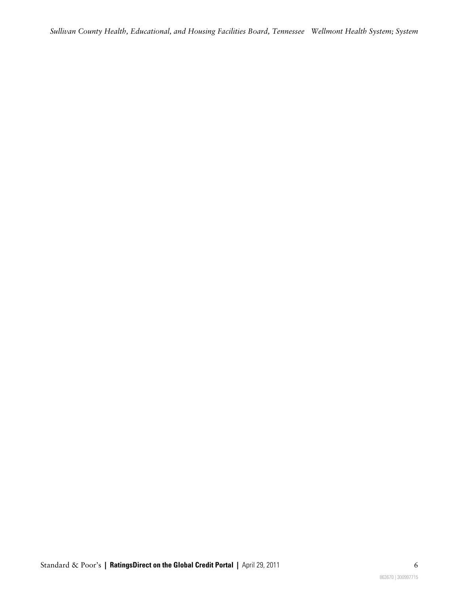*Sullivan County Health, Educational, and Housing Facilities Board, Tennessee Wellmont Health System; System*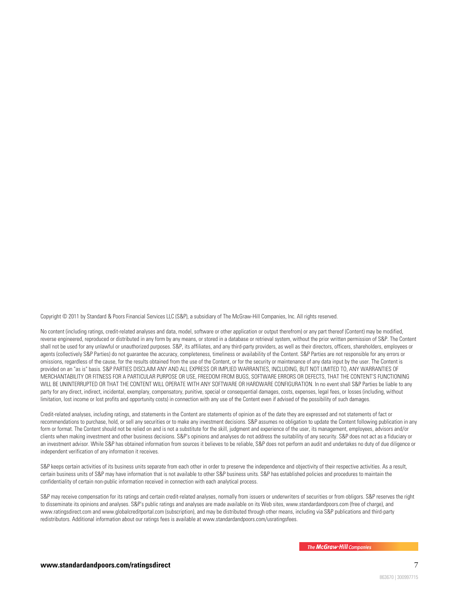Copyright © 2011 by Standard & Poors Financial Services LLC (S&P), a subsidiary of The McGraw-Hill Companies, Inc. All rights reserved.

No content (including ratings, credit-related analyses and data, model, software or other application or output therefrom) or any part thereof (Content) may be modified, reverse engineered, reproduced or distributed in any form by any means, or stored in a database or retrieval system, without the prior written permission of S&P. The Content shall not be used for any unlawful or unauthorized purposes. S&P, its affiliates, and any third-party providers, as well as their directors, officers, shareholders, employees or agents (collectively S&P Parties) do not guarantee the accuracy, completeness, timeliness or availability of the Content. S&P Parties are not responsible for any errors or omissions, regardless of the cause, for the results obtained from the use of the Content, or for the security or maintenance of any data input by the user. The Content is provided on an "as is" basis. S&P PARTIES DISCLAIM ANY AND ALL EXPRESS OR IMPLIED WARRANTIES, INCLUDING, BUT NOT LIMITED TO, ANY WARRANTIES OF MERCHANTABILITY OR FITNESS FOR A PARTICULAR PURPOSE OR USE, FREEDOM FROM BUGS, SOFTWARE ERRORS OR DEFECTS, THAT THE CONTENT'S FUNCTIONING WILL BE UNINTERRUPTED OR THAT THE CONTENT WILL OPERATE WITH ANY SOFTWARE OR HARDWARE CONFIGURATION. In no event shall S&P Parties be liable to any party for any direct, indirect, incidental, exemplary, compensatory, punitive, special or consequential damages, costs, expenses, legal fees, or losses (including, without limitation, lost income or lost profits and opportunity costs) in connection with any use of the Content even if advised of the possibility of such damages.

Credit-related analyses, including ratings, and statements in the Content are statements of opinion as of the date they are expressed and not statements of fact or recommendations to purchase, hold, or sell any securities or to make any investment decisions. S&P assumes no obligation to update the Content following publication in any form or format. The Content should not be relied on and is not a substitute for the skill, judgment and experience of the user, its management, employees, advisors and/or clients when making investment and other business decisions. S&P's opinions and analyses do not address the suitability of any security. S&P does not act as a fiduciary or an investment advisor. While S&P has obtained information from sources it believes to be reliable, S&P does not perform an audit and undertakes no duty of due diligence or independent verification of any information it receives.

S&P keeps certain activities of its business units separate from each other in order to preserve the independence and objectivity of their respective activities. As a result, certain business units of S&P may have information that is not available to other S&P business units. S&P has established policies and procedures to maintain the confidentiality of certain non-public information received in connection with each analytical process.

S&P may receive compensation for its ratings and certain credit-related analyses, normally from issuers or underwriters of securities or from obligors. S&P reserves the right to disseminate its opinions and analyses. S&P's public ratings and analyses are made available on its Web sites, www.standardandpoors.com (free of charge), and www.ratingsdirect.com and www.globalcreditportal.com (subscription), and may be distributed through other means, including via S&P publications and third-party redistributors. Additional information about our ratings fees is available at www.standardandpoors.com/usratingsfees.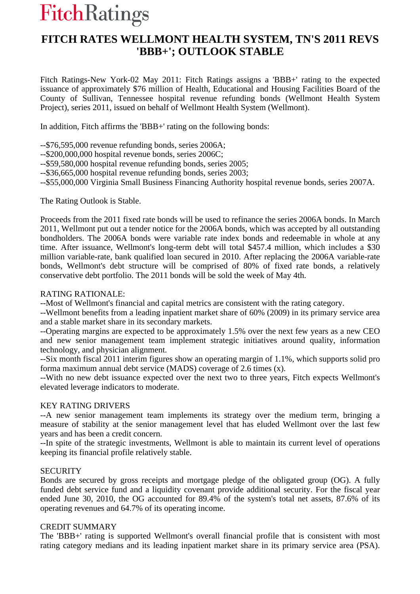# **FitchRatings**

# **FITCH RATES WELLMONT HEALTH SYSTEM, TN'S 2011 REVS 'BBB+'; OUTLOOK STABLE**

Fitch Ratings-New York-02 May 2011: Fitch Ratings assigns a 'BBB+' rating to the expected issuance of approximately \$76 million of Health, Educational and Housing Facilities Board of the County of Sullivan, Tennessee hospital revenue refunding bonds (Wellmont Health System Project), series 2011, issued on behalf of Wellmont Health System (Wellmont).

In addition, Fitch affirms the 'BBB+' rating on the following bonds:

--\$76,595,000 revenue refunding bonds, series 2006A;

--\$200,000,000 hospital revenue bonds, series 2006C;

--\$59,580,000 hospital revenue refunding bonds, series 2005;

--\$36,665,000 hospital revenue refunding bonds, series 2003;

--\$55,000,000 Virginia Small Business Financing Authority hospital revenue bonds, series 2007A.

The Rating Outlook is Stable.

Proceeds from the 2011 fixed rate bonds will be used to refinance the series 2006A bonds. In March 2011, Wellmont put out a tender notice for the 2006A bonds, which was accepted by all outstanding bondholders. The 2006A bonds were variable rate index bonds and redeemable in whole at any time. After issuance, Wellmont's long-term debt will total \$457.4 million, which includes a \$30 million variable-rate, bank qualified loan secured in 2010. After replacing the 2006A variable-rate bonds, Wellmont's debt structure will be comprised of 80% of fixed rate bonds, a relatively conservative debt portfolio. The 2011 bonds will be sold the week of May 4th.

#### RATING RATIONALE:

--Most of Wellmont's financial and capital metrics are consistent with the rating category.

--Wellmont benefits from a leading inpatient market share of 60% (2009) in its primary service area and a stable market share in its secondary markets.

--Operating margins are expected to be approximately 1.5% over the next few years as a new CEO and new senior management team implement strategic initiatives around quality, information technology, and physician alignment.

--Six month fiscal 2011 interim figures show an operating margin of 1.1%, which supports solid pro forma maximum annual debt service (MADS) coverage of 2.6 times (x).

--With no new debt issuance expected over the next two to three years, Fitch expects Wellmont's elevated leverage indicators to moderate.

#### KEY RATING DRIVERS

--A new senior management team implements its strategy over the medium term, bringing a measure of stability at the senior management level that has eluded Wellmont over the last few years and has been a credit concern.

--In spite of the strategic investments, Wellmont is able to maintain its current level of operations keeping its financial profile relatively stable.

#### **SECURITY**

Bonds are secured by gross receipts and mortgage pledge of the obligated group (OG). A fully funded debt service fund and a liquidity covenant provide additional security. For the fiscal year ended June 30, 2010, the OG accounted for 89.4% of the system's total net assets, 87.6% of its operating revenues and 64.7% of its operating income.

#### CREDIT SUMMARY

The 'BBB+' rating is supported Wellmont's overall financial profile that is consistent with most rating category medians and its leading inpatient market share in its primary service area (PSA).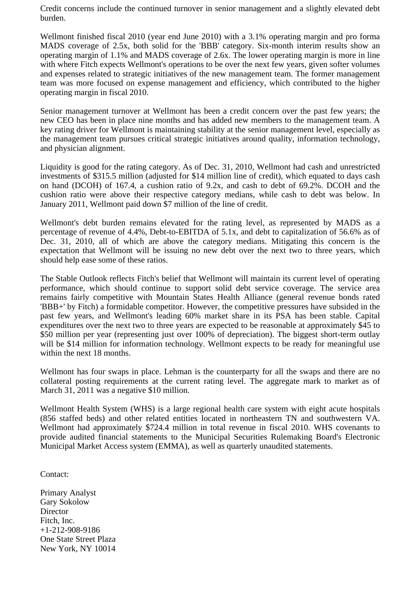Credit concerns include the continued turnover in senior management and a slightly elevated debt burden.

Wellmont finished fiscal 2010 (year end June 2010) with a 3.1% operating margin and pro forma MADS coverage of 2.5x, both solid for the 'BBB' category. Six-month interim results show an operating margin of 1.1% and MADS coverage of 2.6x. The lower operating margin is more in line with where Fitch expects Wellmont's operations to be over the next few years, given softer volumes and expenses related to strategic initiatives of the new management team. The former management team was more focused on expense management and efficiency, which contributed to the higher operating margin in fiscal 2010.

Senior management turnover at Wellmont has been a credit concern over the past few years; the new CEO has been in place nine months and has added new members to the management team. A key rating driver for Wellmont is maintaining stability at the senior management level, especially as the management team pursues critical strategic initiatives around quality, information technology, and physician alignment.

Liquidity is good for the rating category. As of Dec. 31, 2010, Wellmont had cash and unrestricted investments of \$315.5 million (adjusted for \$14 million line of credit), which equated to days cash on hand (DCOH) of 167.4, a cushion ratio of 9.2x, and cash to debt of 69.2%. DCOH and the cushion ratio were above their respective category medians, while cash to debt was below. In January 2011, Wellmont paid down \$7 million of the line of credit.

Wellmont's debt burden remains elevated for the rating level, as represented by MADS as a percentage of revenue of 4.4%, Debt-to-EBITDA of 5.1x, and debt to capitalization of 56.6% as of Dec. 31, 2010, all of which are above the category medians. Mitigating this concern is the expectation that Wellmont will be issuing no new debt over the next two to three years, which should help ease some of these ratios.

The Stable Outlook reflects Fitch's belief that Wellmont will maintain its current level of operating performance, which should continue to support solid debt service coverage. The service area remains fairly competitive with Mountain States Health Alliance (general revenue bonds rated 'BBB+' by Fitch) a formidable competitor. However, the competitive pressures have subsided in the past few years, and Wellmont's leading 60% market share in its PSA has been stable. Capital expenditures over the next two to three years are expected to be reasonable at approximately \$45 to \$50 million per year (representing just over 100% of depreciation). The biggest short-term outlay will be \$14 million for information technology. Wellmont expects to be ready for meaningful use within the next 18 months.

Wellmont has four swaps in place. Lehman is the counterparty for all the swaps and there are no collateral posting requirements at the current rating level. The aggregate mark to market as of March 31, 2011 was a negative \$10 million.

Wellmont Health System (WHS) is a large regional health care system with eight acute hospitals (856 staffed beds) and other related entities located in northeastern TN and southwestern VA. Wellmont had approximately \$724.4 million in total revenue in fiscal 2010. WHS covenants to provide audited financial statements to the Municipal Securities Rulemaking Board's Electronic Municipal Market Access system (EMMA), as well as quarterly unaudited statements.

Contact:

Primary Analyst Gary Sokolow Director Fitch, Inc. +1-212-908-9186 One State Street Plaza New York, NY 10014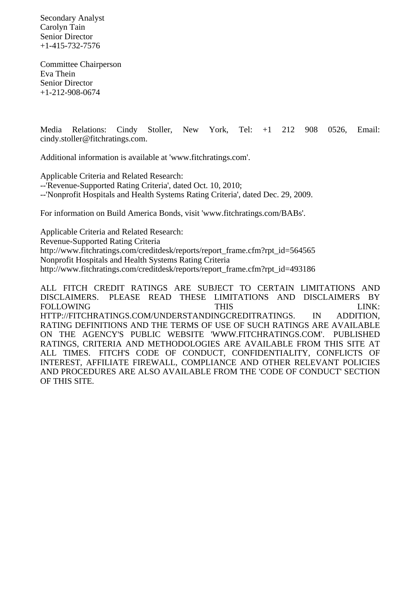Secondary Analyst Carolyn Tain Senior Director +1-415-732-7576

Committee Chairperson Eva Thein Senior Director +1-212-908-0674

Media Relations: Cindy Stoller, New York, Tel: +1 212 908 0526, Email: cindy.stoller@fitchratings.com.

Additional information is available at 'www.fitchratings.com'.

Applicable Criteria and Related Research: --'Revenue-Supported Rating Criteria', dated Oct. 10, 2010; --'Nonprofit Hospitals and Health Systems Rating Criteria', dated Dec. 29, 2009.

For information on Build America Bonds, visit 'www.fitchratings.com/BABs'.

Applicable Criteria and Related Research: Revenue-Supported Rating Criteria http://www.fitchratings.com/creditdesk/reports/report\_frame.cfm?rpt\_id=564565 Nonprofit Hospitals and Health Systems Rating Criteria http://www.fitchratings.com/creditdesk/reports/report\_frame.cfm?rpt\_id=493186

ALL FITCH CREDIT RATINGS ARE SUBJECT TO CERTAIN LIMITATIONS AND DISCLAIMERS. PLEASE READ THESE LIMITATIONS AND DISCLAIMERS BY FOLLOWING THIS THIS EINK: HTTP://FITCHRATINGS.COM/UNDERSTANDINGCREDITRATINGS. IN ADDITION, RATING DEFINITIONS AND THE TERMS OF USE OF SUCH RATINGS ARE AVAILABLE ON THE AGENCY'S PUBLIC WEBSITE 'WWW.FITCHRATINGS.COM'. PUBLISHED RATINGS, CRITERIA AND METHODOLOGIES ARE AVAILABLE FROM THIS SITE AT ALL TIMES. FITCH'S CODE OF CONDUCT, CONFIDENTIALITY, CONFLICTS OF INTEREST, AFFILIATE FIREWALL, COMPLIANCE AND OTHER RELEVANT POLICIES AND PROCEDURES ARE ALSO AVAILABLE FROM THE 'CODE OF CONDUCT' SECTION OF THIS SITE.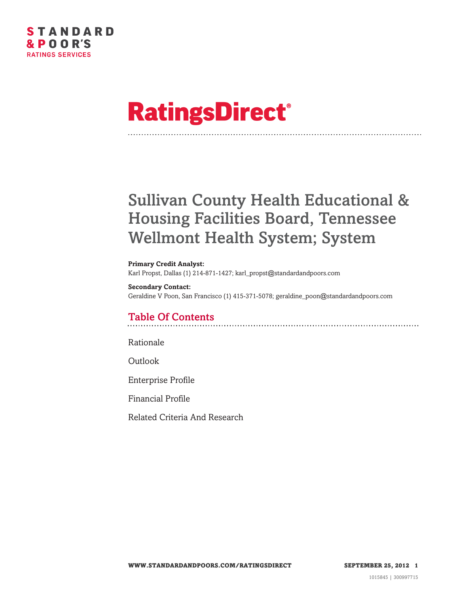# **RatingsDirect®**

# Sullivan County Health Educational & Housing Facilities Board, Tennessee Wellmont Health System; System

**Primary Credit Analyst:** Karl Propst, Dallas (1) 214-871-1427; karl\_propst@standardandpoors.com

**Secondary Contact:** Geraldine V Poon, San Francisco (1) 415-371-5078; geraldine\_poon@standardandpoors.com

# Table Of Contents

Rationale

Outlook

Enterprise Profile

Financial Profile

Related Criteria And Research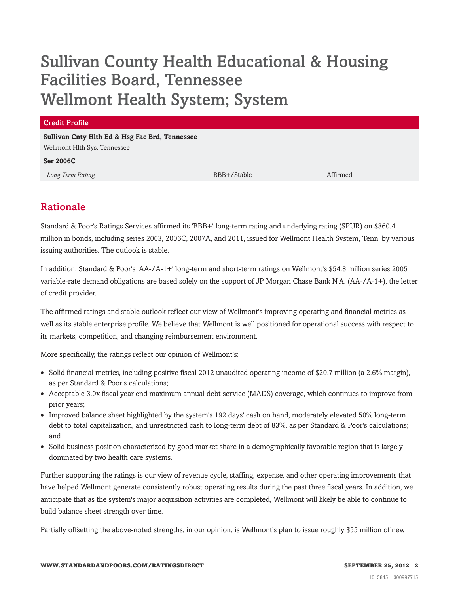# Sullivan County Health Educational & Housing Facilities Board, Tennessee Wellmont Health System; System

| <b>Credit Profile</b>                          |             |          |
|------------------------------------------------|-------------|----------|
| Sullivan Cnty Hlth Ed & Hsg Fac Brd, Tennessee |             |          |
| Wellmont Hlth Sys, Tennessee                   |             |          |
| <b>Ser 2006C</b>                               |             |          |
| Long Term Rating                               | BBB+/Stable | Affirmed |
|                                                |             |          |

## Rationale

Standard & Poor's Ratings Services affirmed its 'BBB+' long-term rating and underlying rating (SPUR) on \$360.4 million in bonds, including series 2003, 2006C, 2007A, and 2011, issued for Wellmont Health System, Tenn. by various issuing authorities. The outlook is stable.

In addition, Standard & Poor's 'AA-/A-1+' long-term and short-term ratings on Wellmont's \$54.8 million series 2005 variable-rate demand obligations are based solely on the support of JP Morgan Chase Bank N.A. (AA-/A-1+), the letter of credit provider.

The affirmed ratings and stable outlook reflect our view of Wellmont's improving operating and financial metrics as well as its stable enterprise profile. We believe that Wellmont is well positioned for operational success with respect to its markets, competition, and changing reimbursement environment.

More specifically, the ratings reflect our opinion of Wellmont's:

- Solid financial metrics, including positive fiscal 2012 unaudited operating income of \$20.7 million (a 2.6% margin), as per Standard & Poor's calculations;
- Acceptable 3.0x fiscal year end maximum annual debt service (MADS) coverage, which continues to improve from prior years;
- Improved balance sheet highlighted by the system's 192 days' cash on hand, moderately elevated 50% long-term debt to total capitalization, and unrestricted cash to long-term debt of 83%, as per Standard & Poor's calculations; and
- Solid business position characterized by good market share in a demographically favorable region that is largely dominated by two health care systems.

Further supporting the ratings is our view of revenue cycle, staffing, expense, and other operating improvements that have helped Wellmont generate consistently robust operating results during the past three fiscal years. In addition, we anticipate that as the system's major acquisition activities are completed, Wellmont will likely be able to continue to build balance sheet strength over time.

Partially offsetting the above-noted strengths, in our opinion, is Wellmont's plan to issue roughly \$55 million of new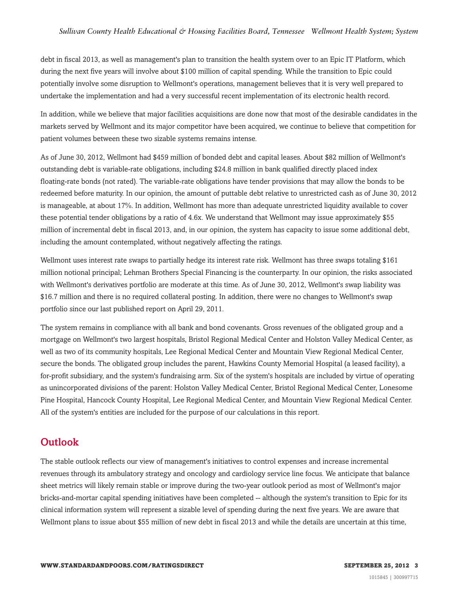debt in fiscal 2013, as well as management's plan to transition the health system over to an Epic IT Platform, which during the next five years will involve about \$100 million of capital spending. While the transition to Epic could potentially involve some disruption to Wellmont's operations, management believes that it is very well prepared to undertake the implementation and had a very successful recent implementation of its electronic health record.

In addition, while we believe that major facilities acquisitions are done now that most of the desirable candidates in the markets served by Wellmont and its major competitor have been acquired, we continue to believe that competition for patient volumes between these two sizable systems remains intense.

As of June 30, 2012, Wellmont had \$459 million of bonded debt and capital leases. About \$82 million of Wellmont's outstanding debt is variable-rate obligations, including \$24.8 million in bank qualified directly placed index floating-rate bonds (not rated). The variable-rate obligations have tender provisions that may allow the bonds to be redeemed before maturity. In our opinion, the amount of puttable debt relative to unrestricted cash as of June 30, 2012 is manageable, at about 17%. In addition, Wellmont has more than adequate unrestricted liquidity available to cover these potential tender obligations by a ratio of 4.6x. We understand that Wellmont may issue approximately \$55 million of incremental debt in fiscal 2013, and, in our opinion, the system has capacity to issue some additional debt, including the amount contemplated, without negatively affecting the ratings.

Wellmont uses interest rate swaps to partially hedge its interest rate risk. Wellmont has three swaps totaling \$161 million notional principal; Lehman Brothers Special Financing is the counterparty. In our opinion, the risks associated with Wellmont's derivatives portfolio are moderate at this time. As of June 30, 2012, Wellmont's swap liability was \$16.7 million and there is no required collateral posting. In addition, there were no changes to Wellmont's swap portfolio since our last published report on April 29, 2011.

The system remains in compliance with all bank and bond covenants. Gross revenues of the obligated group and a mortgage on Wellmont's two largest hospitals, Bristol Regional Medical Center and Holston Valley Medical Center, as well as two of its community hospitals, Lee Regional Medical Center and Mountain View Regional Medical Center, secure the bonds. The obligated group includes the parent, Hawkins County Memorial Hospital (a leased facility), a for-profit subsidiary, and the system's fundraising arm. Six of the system's hospitals are included by virtue of operating as unincorporated divisions of the parent: Holston Valley Medical Center, Bristol Regional Medical Center, Lonesome Pine Hospital, Hancock County Hospital, Lee Regional Medical Center, and Mountain View Regional Medical Center. All of the system's entities are included for the purpose of our calculations in this report.

## **Outlook**

The stable outlook reflects our view of management's initiatives to control expenses and increase incremental revenues through its ambulatory strategy and oncology and cardiology service line focus. We anticipate that balance sheet metrics will likely remain stable or improve during the two-year outlook period as most of Wellmont's major bricks-and-mortar capital spending initiatives have been completed -- although the system's transition to Epic for its clinical information system will represent a sizable level of spending during the next five years. We are aware that Wellmont plans to issue about \$55 million of new debt in fiscal 2013 and while the details are uncertain at this time,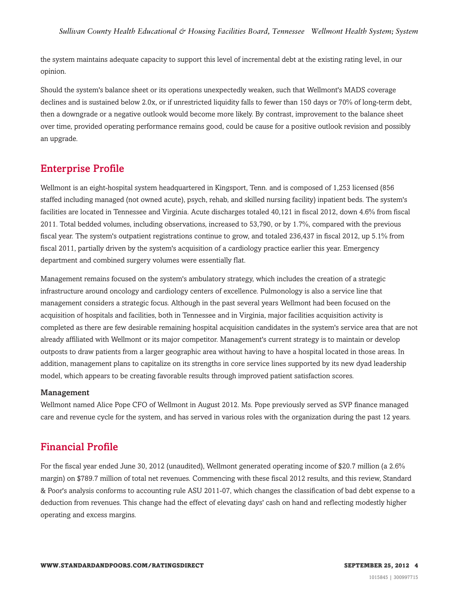the system maintains adequate capacity to support this level of incremental debt at the existing rating level, in our opinion.

Should the system's balance sheet or its operations unexpectedly weaken, such that Wellmont's MADS coverage declines and is sustained below 2.0x, or if unrestricted liquidity falls to fewer than 150 days or 70% of long-term debt, then a downgrade or a negative outlook would become more likely. By contrast, improvement to the balance sheet over time, provided operating performance remains good, could be cause for a positive outlook revision and possibly an upgrade.

### Enterprise Profile

Wellmont is an eight-hospital system headquartered in Kingsport, Tenn. and is composed of 1,253 licensed (856 staffed including managed (not owned acute), psych, rehab, and skilled nursing facility) inpatient beds. The system's facilities are located in Tennessee and Virginia. Acute discharges totaled 40,121 in fiscal 2012, down 4.6% from fiscal 2011. Total bedded volumes, including observations, increased to 53,790, or by 1.7%, compared with the previous fiscal year. The system's outpatient registrations continue to grow, and totaled 236,437 in fiscal 2012, up 5.1% from fiscal 2011, partially driven by the system's acquisition of a cardiology practice earlier this year. Emergency department and combined surgery volumes were essentially flat.

Management remains focused on the system's ambulatory strategy, which includes the creation of a strategic infrastructure around oncology and cardiology centers of excellence. Pulmonology is also a service line that management considers a strategic focus. Although in the past several years Wellmont had been focused on the acquisition of hospitals and facilities, both in Tennessee and in Virginia, major facilities acquisition activity is completed as there are few desirable remaining hospital acquisition candidates in the system's service area that are not already affiliated with Wellmont or its major competitor. Management's current strategy is to maintain or develop outposts to draw patients from a larger geographic area without having to have a hospital located in those areas. In addition, management plans to capitalize on its strengths in core service lines supported by its new dyad leadership model, which appears to be creating favorable results through improved patient satisfaction scores.

#### Management

Wellmont named Alice Pope CFO of Wellmont in August 2012. Ms. Pope previously served as SVP finance managed care and revenue cycle for the system, and has served in various roles with the organization during the past 12 years.

### Financial Profile

For the fiscal year ended June 30, 2012 (unaudited), Wellmont generated operating income of \$20.7 million (a 2.6% margin) on \$789.7 million of total net revenues. Commencing with these fiscal 2012 results, and this review, Standard & Poor's analysis conforms to accounting rule ASU 2011-07, which changes the classification of bad debt expense to a deduction from revenues. This change had the effect of elevating days' cash on hand and reflecting modestly higher operating and excess margins.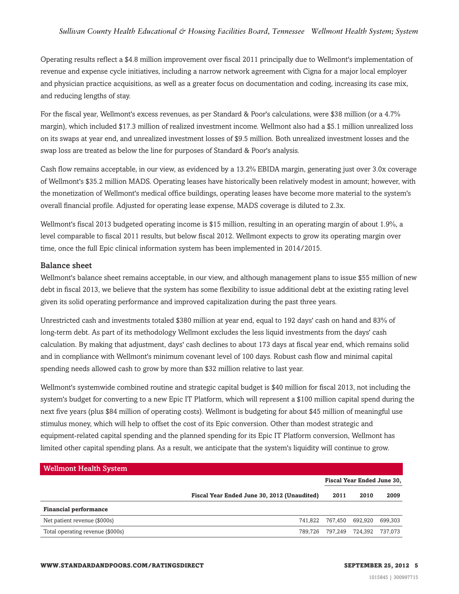#### *Sullivan County Health Educational & Housing Facilities Board, Tennessee Wellmont Health System; System*

Operating results reflect a \$4.8 million improvement over fiscal 2011 principally due to Wellmont's implementation of revenue and expense cycle initiatives, including a narrow network agreement with Cigna for a major local employer and physician practice acquisitions, as well as a greater focus on documentation and coding, increasing its case mix, and reducing lengths of stay.

For the fiscal year, Wellmont's excess revenues, as per Standard & Poor's calculations, were \$38 million (or a 4.7% margin), which included \$17.3 million of realized investment income. Wellmont also had a \$5.1 million unrealized loss on its swaps at year end, and unrealized investment losses of \$9.5 million. Both unrealized investment losses and the swap loss are treated as below the line for purposes of Standard & Poor's analysis.

Cash flow remains acceptable, in our view, as evidenced by a 13.2% EBIDA margin, generating just over 3.0x coverage of Wellmont's \$35.2 million MADS. Operating leases have historically been relatively modest in amount; however, with the monetization of Wellmont's medical office buildings, operating leases have become more material to the system's overall financial profile. Adjusted for operating lease expense, MADS coverage is diluted to 2.3x.

Wellmont's fiscal 2013 budgeted operating income is \$15 million, resulting in an operating margin of about 1.9%, a level comparable to fiscal 2011 results, but below fiscal 2012. Wellmont expects to grow its operating margin over time, once the full Epic clinical information system has been implemented in 2014/2015.

#### Balance sheet

Wellmont's balance sheet remains acceptable, in our view, and although management plans to issue \$55 million of new debt in fiscal 2013, we believe that the system has some flexibility to issue additional debt at the existing rating level given its solid operating performance and improved capitalization during the past three years.

Unrestricted cash and investments totaled \$380 million at year end, equal to 192 days' cash on hand and 83% of long-term debt. As part of its methodology Wellmont excludes the less liquid investments from the days' cash calculation. By making that adjustment, days' cash declines to about 173 days at fiscal year end, which remains solid and in compliance with Wellmont's minimum covenant level of 100 days. Robust cash flow and minimal capital spending needs allowed cash to grow by more than \$32 million relative to last year.

Wellmont's systemwide combined routine and strategic capital budget is \$40 million for fiscal 2013, not including the system's budget for converting to a new Epic IT Platform, which will represent a \$100 million capital spend during the next five years (plus \$84 million of operating costs). Wellmont is budgeting for about \$45 million of meaningful use stimulus money, which will help to offset the cost of its Epic conversion. Other than modest strategic and equipment-related capital spending and the planned spending for its Epic IT Platform conversion, Wellmont has limited other capital spending plans. As a result, we anticipate that the system's liquidity will continue to grow.

| <b>Wellmont Health System</b>    |                                             |                 |                            |         |
|----------------------------------|---------------------------------------------|-----------------|----------------------------|---------|
|                                  |                                             |                 | Fiscal Year Ended June 30, |         |
|                                  | Fiscal Year Ended June 30, 2012 (Unaudited) | 2011            | 2010                       | 2009    |
| <b>Financial performance</b>     |                                             |                 |                            |         |
| Net patient revenue (\$000s)     |                                             | 741,822 767,450 | 692.920                    | 699,303 |
| Total operating revenue (\$000s) | 789.726                                     | 797.249         | 724.392                    | 737.073 |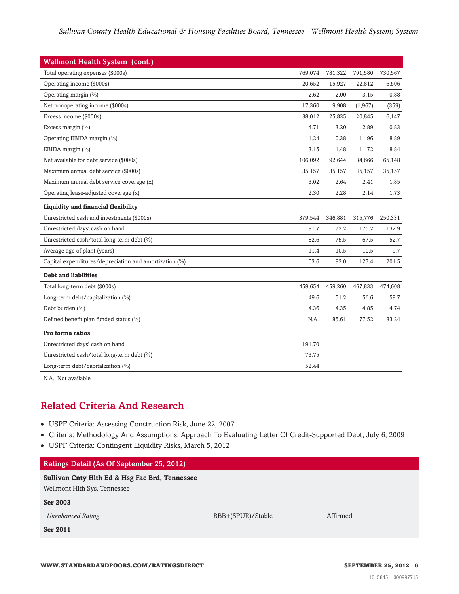#### *Sullivan County Health Educational & Housing Facilities Board, Tennessee Wellmont Health System; System*

| Wellmont Health System (cont.)                         |         |         |         |         |
|--------------------------------------------------------|---------|---------|---------|---------|
| Total operating expenses (\$000s)                      | 769,074 | 781,322 | 701,580 | 730,567 |
| Operating income (\$000s)                              | 20.652  | 15,927  | 22,812  | 6,506   |
| Operating margin (%)                                   | 2.62    | 2.00    | 3.15    | 0.88    |
| Net nonoperating income (\$000s)                       | 17,360  | 9,908   | (1,967) | (359)   |
| Excess income (\$000s)                                 | 38,012  | 25,835  | 20,845  | 6,147   |
| Excess margin (%)                                      | 4.71    | 3.20    | 2.89    | 0.83    |
| Operating EBIDA margin (%)                             | 11.24   | 10.38   | 11.96   | 8.89    |
| EBIDA margin (%)                                       | 13.15   | 11.48   | 11.72   | 8.84    |
| Net available for debt service (\$000s)                | 106,092 | 92,644  | 84,666  | 65,148  |
| Maximum annual debt service (\$000s)                   | 35,157  | 35,157  | 35,157  | 35,157  |
| Maximum annual debt service coverage (x)               | 3.02    | 2.64    | 2.41    | 1.85    |
| Operating lease-adjusted coverage (x)                  | 2.30    | 2.28    | 2.14    | 1.73    |
| Liquidity and financial flexibility                    |         |         |         |         |
| Unrestricted cash and investments (\$000s)             | 379,544 | 346,881 | 315,776 | 250,331 |
| Unrestricted days' cash on hand                        | 191.7   | 172.2   | 175.2   | 132.9   |
| Unrestricted cash/total long-term debt (%)             | 82.6    | 75.5    | 67.5    | 52.7    |
| Average age of plant (years)                           | 11.4    | 10.5    | 10.5    | 9.7     |
| Capital expenditures/depreciation and amortization (%) | 103.6   | 92.0    | 127.4   | 201.5   |
| <b>Debt and liabilities</b>                            |         |         |         |         |
| Total long-term debt (\$000s)                          | 459,654 | 459,260 | 467,833 | 474,608 |
| Long-term debt/capitalization (%)                      | 49.6    | 51.2    | 56.6    | 59.7    |
| Debt burden (%)                                        | 4.36    | 4.35    | 4.85    | 4.74    |
| Defined benefit plan funded status (%)                 | N.A.    | 85.61   | 77.52   | 83.24   |
| Pro forma ratios                                       |         |         |         |         |
| Unrestricted days' cash on hand                        | 191.70  |         |         |         |
| Unrestricted cash/total long-term debt (%)             | 73.75   |         |         |         |
| Long-term debt/capitalization (%)                      | 52.44   |         |         |         |

N.A.: Not available.

## Related Criteria And Research

- USPF Criteria: Assessing Construction Risk, June 22, 2007
- Criteria: Methodology And Assumptions: Approach To Evaluating Letter Of Credit-Supported Debt, July 6, 2009
- USPF Criteria: Contingent Liquidity Risks, March 5, 2012

### Ratings Detail (As Of September 25, 2012) **Sullivan Cnty Hlth Ed & Hsg Fac Brd, Tennessee** Wellmont Hlth Sys, Tennessee **Ser 2003**

*Unenhanced Rating* BBB+(SPUR)/Stable Affirmed

**Ser 2011**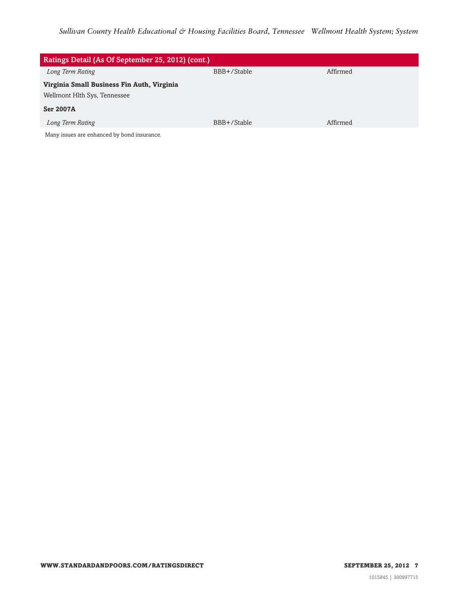| Ratings Detail (As Of September 25, 2012) (cont.)                          |             |          |  |
|----------------------------------------------------------------------------|-------------|----------|--|
| Long Term Rating                                                           | BBB+/Stable | Affirmed |  |
| Virginia Small Business Fin Auth, Virginia<br>Wellmont Hlth Sys, Tennessee |             |          |  |
| <b>Ser 2007A</b>                                                           |             |          |  |
| Long Term Rating                                                           | BBB+/Stable | Affirmed |  |
| Many issues are enhanced by bond insurance.                                |             |          |  |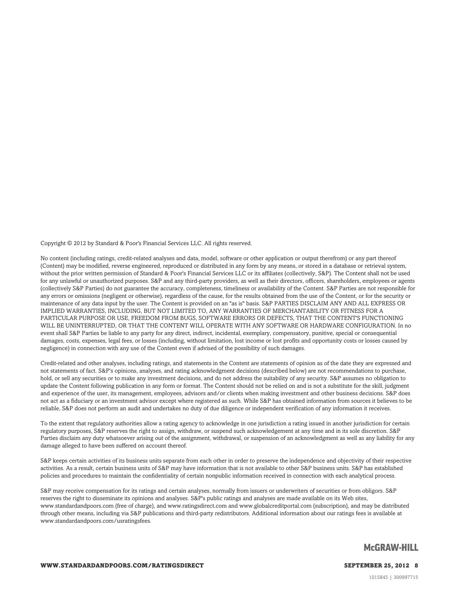Copyright © 2012 by Standard & Poor's Financial Services LLC. All rights reserved.

No content (including ratings, credit-related analyses and data, model, software or other application or output therefrom) or any part thereof (Content) may be modified, reverse engineered, reproduced or distributed in any form by any means, or stored in a database or retrieval system, without the prior written permission of Standard & Poor's Financial Services LLC or its affiliates (collectively, S&P). The Content shall not be used for any unlawful or unauthorized purposes. S&P and any third-party providers, as well as their directors, officers, shareholders, employees or agents (collectively S&P Parties) do not guarantee the accuracy, completeness, timeliness or availability of the Content. S&P Parties are not responsible for any errors or omissions (negligent or otherwise), regardless of the cause, for the results obtained from the use of the Content, or for the security or maintenance of any data input by the user. The Content is provided on an "as is" basis. S&P PARTIES DISCLAIM ANY AND ALL EXPRESS OR IMPLIED WARRANTIES, INCLUDING, BUT NOT LIMITED TO, ANY WARRANTIES OF MERCHANTABILITY OR FITNESS FOR A PARTICULAR PURPOSE OR USE, FREEDOM FROM BUGS, SOFTWARE ERRORS OR DEFECTS, THAT THE CONTENT'S FUNCTIONING WILL BE UNINTERRUPTED, OR THAT THE CONTENT WILL OPERATE WITH ANY SOFTWARE OR HARDWARE CONFIGURATION. In no event shall S&P Parties be liable to any party for any direct, indirect, incidental, exemplary, compensatory, punitive, special or consequential damages, costs, expenses, legal fees, or losses (including, without limitation, lost income or lost profits and opportunity costs or losses caused by negligence) in connection with any use of the Content even if advised of the possibility of such damages.

Credit-related and other analyses, including ratings, and statements in the Content are statements of opinion as of the date they are expressed and not statements of fact. S&P's opinions, analyses, and rating acknowledgment decisions (described below) are not recommendations to purchase, hold, or sell any securities or to make any investment decisions, and do not address the suitability of any security. S&P assumes no obligation to update the Content following publication in any form or format. The Content should not be relied on and is not a substitute for the skill, judgment and experience of the user, its management, employees, advisors and/or clients when making investment and other business decisions. S&P does not act as a fiduciary or an investment advisor except where registered as such. While S&P has obtained information from sources it believes to be reliable, S&P does not perform an audit and undertakes no duty of due diligence or independent verification of any information it receives.

To the extent that regulatory authorities allow a rating agency to acknowledge in one jurisdiction a rating issued in another jurisdiction for certain regulatory purposes, S&P reserves the right to assign, withdraw, or suspend such acknowledgement at any time and in its sole discretion. S&P Parties disclaim any duty whatsoever arising out of the assignment, withdrawal, or suspension of an acknowledgment as well as any liability for any damage alleged to have been suffered on account thereof.

S&P keeps certain activities of its business units separate from each other in order to preserve the independence and objectivity of their respective activities. As a result, certain business units of S&P may have information that is not available to other S&P business units. S&P has established policies and procedures to maintain the confidentiality of certain nonpublic information received in connection with each analytical process.

S&P may receive compensation for its ratings and certain analyses, normally from issuers or underwriters of securities or from obligors. S&P reserves the right to disseminate its opinions and analyses. S&P's public ratings and analyses are made available on its Web sites, www.standardandpoors.com (free of charge), and www.ratingsdirect.com and www.globalcreditportal.com (subscription), and may be distributed through other means, including via S&P publications and third-party redistributors. Additional information about our ratings fees is available at www.standardandpoors.com/usratingsfees.

### **McGRAW-HILL**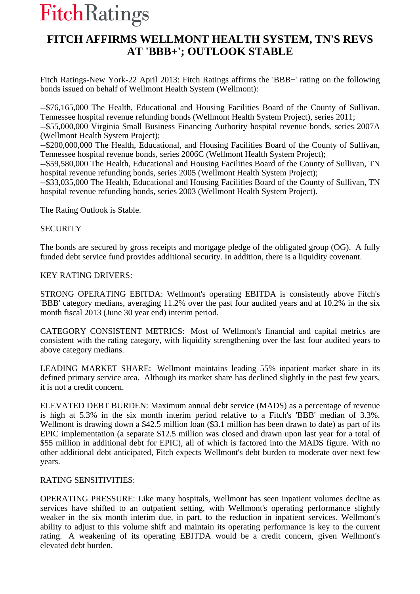# **FitchRatings**

# **FITCH AFFIRMS WELLMONT HEALTH SYSTEM, TN'S REVS AT 'BBB+'; OUTLOOK STABLE**

Fitch Ratings-New York-22 April 2013: Fitch Ratings affirms the 'BBB+' rating on the following bonds issued on behalf of Wellmont Health System (Wellmont):

--\$76,165,000 The Health, Educational and Housing Facilities Board of the County of Sullivan, Tennessee hospital revenue refunding bonds (Wellmont Health System Project), series 2011; --\$55,000,000 Virginia Small Business Financing Authority hospital revenue bonds, series 2007A (Wellmont Health System Project);

--\$200,000,000 The Health, Educational, and Housing Facilities Board of the County of Sullivan, Tennessee hospital revenue bonds, series 2006C (Wellmont Health System Project);

--\$59,580,000 The Health, Educational and Housing Facilities Board of the County of Sullivan, TN hospital revenue refunding bonds, series 2005 (Wellmont Health System Project);

--\$33,035,000 The Health, Educational and Housing Facilities Board of the County of Sullivan, TN hospital revenue refunding bonds, series 2003 (Wellmont Health System Project).

The Rating Outlook is Stable.

#### **SECURITY**

The bonds are secured by gross receipts and mortgage pledge of the obligated group (OG). A fully funded debt service fund provides additional security. In addition, there is a liquidity covenant.

#### KEY RATING DRIVERS:

STRONG OPERATING EBITDA: Wellmont's operating EBITDA is consistently above Fitch's 'BBB' category medians, averaging 11.2% over the past four audited years and at 10.2% in the six month fiscal 2013 (June 30 year end) interim period.

CATEGORY CONSISTENT METRICS: Most of Wellmont's financial and capital metrics are consistent with the rating category, with liquidity strengthening over the last four audited years to above category medians.

LEADING MARKET SHARE: Wellmont maintains leading 55% inpatient market share in its defined primary service area. Although its market share has declined slightly in the past few years, it is not a credit concern.

ELEVATED DEBT BURDEN: Maximum annual debt service (MADS) as a percentage of revenue is high at 5.3% in the six month interim period relative to a Fitch's 'BBB' median of 3.3%. Wellmont is drawing down a \$42.5 million loan (\$3.1 million has been drawn to date) as part of its EPIC implementation (a separate \$12.5 million was closed and drawn upon last year for a total of \$55 million in additional debt for EPIC), all of which is factored into the MADS figure. With no other additional debt anticipated, Fitch expects Wellmont's debt burden to moderate over next few years.

#### RATING SENSITIVITIES:

OPERATING PRESSURE: Like many hospitals, Wellmont has seen inpatient volumes decline as services have shifted to an outpatient setting, with Wellmont's operating performance slightly weaker in the six month interim due, in part, to the reduction in inpatient services. Wellmont's ability to adjust to this volume shift and maintain its operating performance is key to the current rating. A weakening of its operating EBITDA would be a credit concern, given Wellmont's elevated debt burden.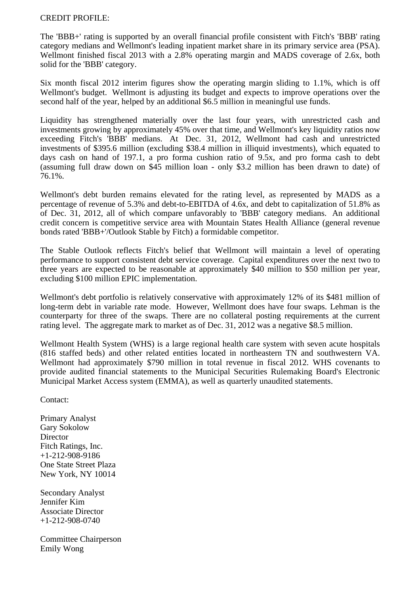#### CREDIT PROFILE:

The 'BBB+' rating is supported by an overall financial profile consistent with Fitch's 'BBB' rating category medians and Wellmont's leading inpatient market share in its primary service area (PSA). Wellmont finished fiscal 2013 with a 2.8% operating margin and MADS coverage of 2.6x, both solid for the 'BBB' category.

Six month fiscal 2012 interim figures show the operating margin sliding to 1.1%, which is off Wellmont's budget. Wellmont is adjusting its budget and expects to improve operations over the second half of the year, helped by an additional \$6.5 million in meaningful use funds.

Liquidity has strengthened materially over the last four years, with unrestricted cash and investments growing by approximately 45% over that time, and Wellmont's key liquidity ratios now exceeding Fitch's 'BBB' medians. At Dec. 31, 2012, Wellmont had cash and unrestricted investments of \$395.6 million (excluding \$38.4 million in illiquid investments), which equated to days cash on hand of 197.1, a pro forma cushion ratio of 9.5x, and pro forma cash to debt (assuming full draw down on \$45 million loan - only \$3.2 million has been drawn to date) of 76.1%.

Wellmont's debt burden remains elevated for the rating level, as represented by MADS as a percentage of revenue of 5.3% and debt-to-EBITDA of 4.6x, and debt to capitalization of 51.8% as of Dec. 31, 2012, all of which compare unfavorably to 'BBB' category medians. An additional credit concern is competitive service area with Mountain States Health Alliance (general revenue bonds rated 'BBB+'/Outlook Stable by Fitch) a formidable competitor.

The Stable Outlook reflects Fitch's belief that Wellmont will maintain a level of operating performance to support consistent debt service coverage. Capital expenditures over the next two to three years are expected to be reasonable at approximately \$40 million to \$50 million per year, excluding \$100 million EPIC implementation.

Wellmont's debt portfolio is relatively conservative with approximately 12% of its \$481 million of long-term debt in variable rate mode. However, Wellmont does have four swaps. Lehman is the counterparty for three of the swaps. There are no collateral posting requirements at the current rating level. The aggregate mark to market as of Dec. 31, 2012 was a negative \$8.5 million.

Wellmont Health System (WHS) is a large regional health care system with seven acute hospitals (816 staffed beds) and other related entities located in northeastern TN and southwestern VA. Wellmont had approximately \$790 million in total revenue in fiscal 2012. WHS covenants to provide audited financial statements to the Municipal Securities Rulemaking Board's Electronic Municipal Market Access system (EMMA), as well as quarterly unaudited statements.

Contact:

Primary Analyst Gary Sokolow **Director** Fitch Ratings, Inc. +1-212-908-9186 One State Street Plaza New York, NY 10014

Secondary Analyst Jennifer Kim Associate Director +1-212-908-0740

Committee Chairperson Emily Wong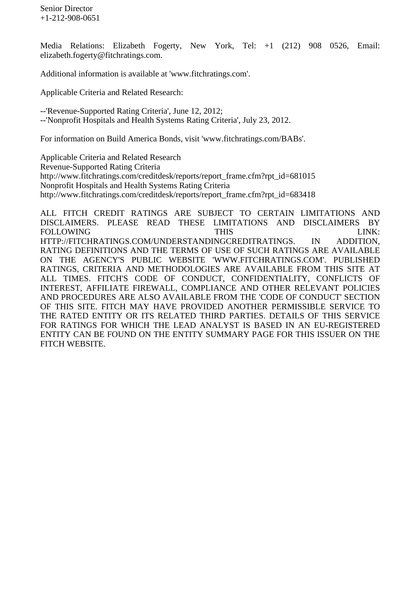Media Relations: Elizabeth Fogerty, New York, Tel: +1 (212) 908 0526, Email: elizabeth.fogerty@fitchratings.com.

Additional information is available at 'www.fitchratings.com'.

Applicable Criteria and Related Research:

--'Revenue-Supported Rating Criteria', June 12, 2012; --'Nonprofit Hospitals and Health Systems Rating Criteria', July 23, 2012.

For information on Build America Bonds, visit 'www.fitchratings.com/BABs'.

Applicable Criteria and Related Research Revenue-Supported Rating Criteria http://www.fitchratings.com/creditdesk/reports/report\_frame.cfm?rpt\_id=681015 Nonprofit Hospitals and Health Systems Rating Criteria http://www.fitchratings.com/creditdesk/reports/report\_frame.cfm?rpt\_id=683418

ALL FITCH CREDIT RATINGS ARE SUBJECT TO CERTAIN LIMITATIONS AND DISCLAIMERS. PLEASE READ THESE LIMITATIONS AND DISCLAIMERS BY FOLLOWING THIS THIS LINK: HTTP://FITCHRATINGS.COM/UNDERSTANDINGCREDITRATINGS. IN ADDITION, RATING DEFINITIONS AND THE TERMS OF USE OF SUCH RATINGS ARE AVAILABLE ON THE AGENCY'S PUBLIC WEBSITE 'WWW.FITCHRATINGS.COM'. PUBLISHED RATINGS, CRITERIA AND METHODOLOGIES ARE AVAILABLE FROM THIS SITE AT ALL TIMES. FITCH'S CODE OF CONDUCT, CONFIDENTIALITY, CONFLICTS OF INTEREST, AFFILIATE FIREWALL, COMPLIANCE AND OTHER RELEVANT POLICIES AND PROCEDURES ARE ALSO AVAILABLE FROM THE 'CODE OF CONDUCT' SECTION OF THIS SITE. FITCH MAY HAVE PROVIDED ANOTHER PERMISSIBLE SERVICE TO THE RATED ENTITY OR ITS RELATED THIRD PARTIES. DETAILS OF THIS SERVICE FOR RATINGS FOR WHICH THE LEAD ANALYST IS BASED IN AN EU-REGISTERED ENTITY CAN BE FOUND ON THE ENTITY SUMMARY PAGE FOR THIS ISSUER ON THE FITCH WEBSITE.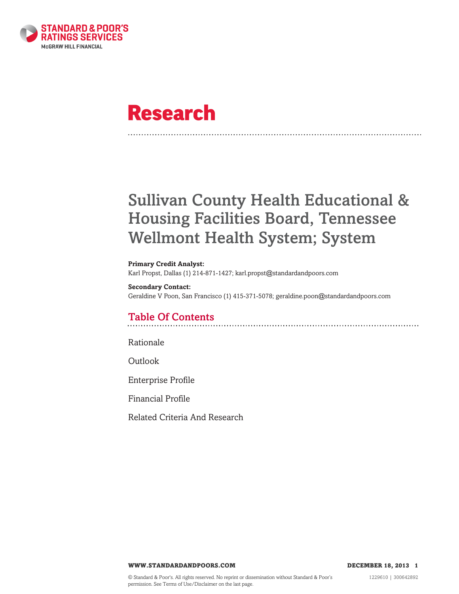

# **Research**

# Sullivan County Health Educational & Housing Facilities Board, Tennessee Wellmont Health System; System

#### **Primary Credit Analyst:**

Karl Propst, Dallas (1) 214-871-1427; karl.propst@standardandpoors.com

#### **Secondary Contact:**

Geraldine V Poon, San Francisco (1) 415-371-5078; geraldine.poon@standardandpoors.com

### Table Of Contents

Rationale

Outlook

Enterprise Profile

Financial Profile

Related Criteria And Research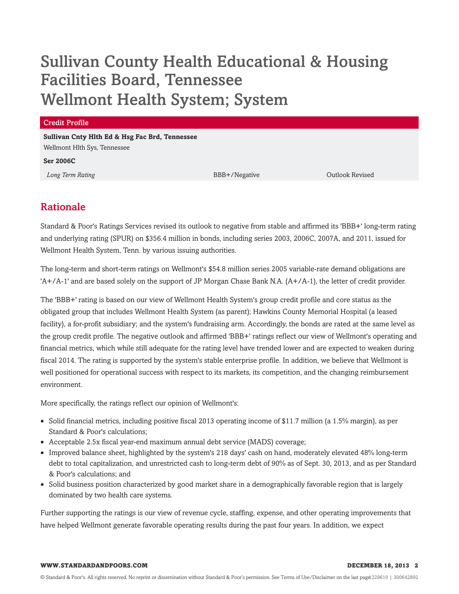# Sullivan County Health Educational & Housing Facilities Board, Tennessee Wellmont Health System; System

| <b>Credit Profile</b>                          |               |                        |
|------------------------------------------------|---------------|------------------------|
| Sullivan Cnty Hlth Ed & Hsg Fac Brd, Tennessee |               |                        |
| Wellmont Hlth Sys, Tennessee                   |               |                        |
| <b>Ser 2006C</b>                               |               |                        |
| Long Term Rating                               | BBB+/Negative | <b>Outlook Revised</b> |

### Rationale

Standard & Poor's Ratings Services revised its outlook to negative from stable and affirmed its 'BBB+' long-term rating and underlying rating (SPUR) on \$356.4 million in bonds, including series 2003, 2006C, 2007A, and 2011, issued for Wellmont Health System, Tenn. by various issuing authorities.

The long-term and short-term ratings on Wellmont's \$54.8 million series 2005 variable-rate demand obligations are 'A+/A-1' and are based solely on the support of JP Morgan Chase Bank N.A. (A+/A-1), the letter of credit provider.

The 'BBB+' rating is based on our view of Wellmont Health System's group credit profile and core status as the obligated group that includes Wellmont Health System (as parent); Hawkins County Memorial Hospital (a leased facility), a for-profit subsidiary; and the system's fundraising arm. Accordingly, the bonds are rated at the same level as the group credit profile. The negative outlook and affirmed 'BBB+' ratings reflect our view of Wellmont's operating and financial metrics, which while still adequate for the rating level have trended lower and are expected to weaken during fiscal 2014. The rating is supported by the system's stable enterprise profile. In addition, we believe that Wellmont is well positioned for operational success with respect to its markets, its competition, and the changing reimbursement environment.

More specifically, the ratings reflect our opinion of Wellmont's:

- Solid financial metrics, including positive fiscal 2013 operating income of \$11.7 million (a 1.5% margin), as per Standard & Poor's calculations;
- Acceptable 2.5x fiscal year-end maximum annual debt service (MADS) coverage;
- Improved balance sheet, highlighted by the system's 218 days' cash on hand, moderately elevated 48% long-term debt to total capitalization, and unrestricted cash to long-term debt of 90% as of Sept. 30, 2013, and as per Standard & Poor's calculations; and
- Solid business position characterized by good market share in a demographically favorable region that is largely dominated by two health care systems.

Further supporting the ratings is our view of revenue cycle, staffing, expense, and other operating improvements that have helped Wellmont generate favorable operating results during the past four years. In addition, we expect

#### WWW.STANDARDANDPOORS.COM DECEMBER 18, 2013 2

© Standard & Poor's. All rights reserved. No reprint or dissemination without Standard & Poor's permission. See Terms of Use/Disclaimer on the last page.1229610 | 300642892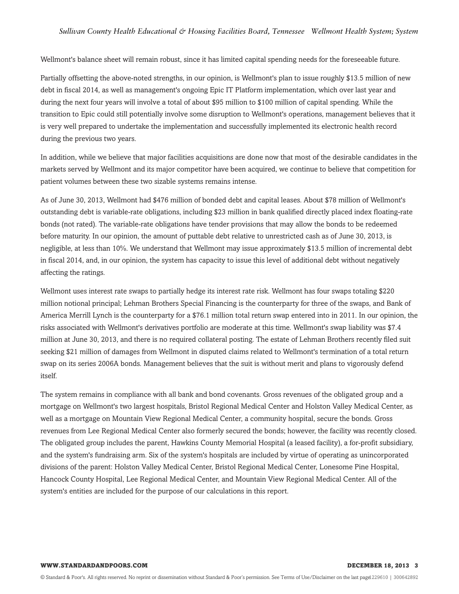Wellmont's balance sheet will remain robust, since it has limited capital spending needs for the foreseeable future.

Partially offsetting the above-noted strengths, in our opinion, is Wellmont's plan to issue roughly \$13.5 million of new debt in fiscal 2014, as well as management's ongoing Epic IT Platform implementation, which over last year and during the next four years will involve a total of about \$95 million to \$100 million of capital spending. While the transition to Epic could still potentially involve some disruption to Wellmont's operations, management believes that it is very well prepared to undertake the implementation and successfully implemented its electronic health record during the previous two years.

In addition, while we believe that major facilities acquisitions are done now that most of the desirable candidates in the markets served by Wellmont and its major competitor have been acquired, we continue to believe that competition for patient volumes between these two sizable systems remains intense.

As of June 30, 2013, Wellmont had \$476 million of bonded debt and capital leases. About \$78 million of Wellmont's outstanding debt is variable-rate obligations, including \$23 million in bank qualified directly placed index floating-rate bonds (not rated). The variable-rate obligations have tender provisions that may allow the bonds to be redeemed before maturity. In our opinion, the amount of puttable debt relative to unrestricted cash as of June 30, 2013, is negligible, at less than 10%. We understand that Wellmont may issue approximately \$13.5 million of incremental debt in fiscal 2014, and, in our opinion, the system has capacity to issue this level of additional debt without negatively affecting the ratings.

Wellmont uses interest rate swaps to partially hedge its interest rate risk. Wellmont has four swaps totaling \$220 million notional principal; Lehman Brothers Special Financing is the counterparty for three of the swaps, and Bank of America Merrill Lynch is the counterparty for a \$76.1 million total return swap entered into in 2011. In our opinion, the risks associated with Wellmont's derivatives portfolio are moderate at this time. Wellmont's swap liability was \$7.4 million at June 30, 2013, and there is no required collateral posting. The estate of Lehman Brothers recently filed suit seeking \$21 million of damages from Wellmont in disputed claims related to Wellmont's termination of a total return swap on its series 2006A bonds. Management believes that the suit is without merit and plans to vigorously defend itself.

The system remains in compliance with all bank and bond covenants. Gross revenues of the obligated group and a mortgage on Wellmont's two largest hospitals, Bristol Regional Medical Center and Holston Valley Medical Center, as well as a mortgage on Mountain View Regional Medical Center, a community hospital, secure the bonds. Gross revenues from Lee Regional Medical Center also formerly secured the bonds; however, the facility was recently closed. The obligated group includes the parent, Hawkins County Memorial Hospital (a leased facility), a for-profit subsidiary, and the system's fundraising arm. Six of the system's hospitals are included by virtue of operating as unincorporated divisions of the parent: Holston Valley Medical Center, Bristol Regional Medical Center, Lonesome Pine Hospital, Hancock County Hospital, Lee Regional Medical Center, and Mountain View Regional Medical Center. All of the system's entities are included for the purpose of our calculations in this report.

© Standard & Poor's. All rights reserved. No reprint or dissemination without Standard & Poor's permission. See Terms of Use/Disclaimer on the last page.1229610 | 300642892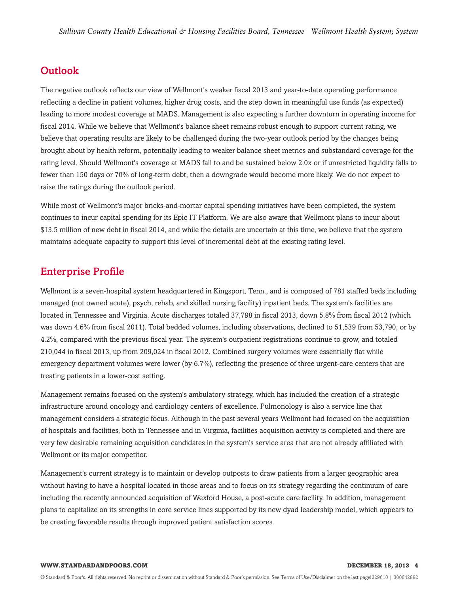### **Outlook**

The negative outlook reflects our view of Wellmont's weaker fiscal 2013 and year-to-date operating performance reflecting a decline in patient volumes, higher drug costs, and the step down in meaningful use funds (as expected) leading to more modest coverage at MADS. Management is also expecting a further downturn in operating income for fiscal 2014. While we believe that Wellmont's balance sheet remains robust enough to support current rating, we believe that operating results are likely to be challenged during the two-year outlook period by the changes being brought about by health reform, potentially leading to weaker balance sheet metrics and substandard coverage for the rating level. Should Wellmont's coverage at MADS fall to and be sustained below 2.0x or if unrestricted liquidity falls to fewer than 150 days or 70% of long-term debt, then a downgrade would become more likely. We do not expect to raise the ratings during the outlook period.

While most of Wellmont's major bricks-and-mortar capital spending initiatives have been completed, the system continues to incur capital spending for its Epic IT Platform. We are also aware that Wellmont plans to incur about \$13.5 million of new debt in fiscal 2014, and while the details are uncertain at this time, we believe that the system maintains adequate capacity to support this level of incremental debt at the existing rating level.

### Enterprise Profile

Wellmont is a seven-hospital system headquartered in Kingsport, Tenn., and is composed of 781 staffed beds including managed (not owned acute), psych, rehab, and skilled nursing facility) inpatient beds. The system's facilities are located in Tennessee and Virginia. Acute discharges totaled 37,798 in fiscal 2013, down 5.8% from fiscal 2012 (which was down 4.6% from fiscal 2011). Total bedded volumes, including observations, declined to 51,539 from 53,790, or by 4.2%, compared with the previous fiscal year. The system's outpatient registrations continue to grow, and totaled 210,044 in fiscal 2013, up from 209,024 in fiscal 2012. Combined surgery volumes were essentially flat while emergency department volumes were lower (by 6.7%), reflecting the presence of three urgent-care centers that are treating patients in a lower-cost setting.

Management remains focused on the system's ambulatory strategy, which has included the creation of a strategic infrastructure around oncology and cardiology centers of excellence. Pulmonology is also a service line that management considers a strategic focus. Although in the past several years Wellmont had focused on the acquisition of hospitals and facilities, both in Tennessee and in Virginia, facilities acquisition activity is completed and there are very few desirable remaining acquisition candidates in the system's service area that are not already affiliated with Wellmont or its major competitor.

Management's current strategy is to maintain or develop outposts to draw patients from a larger geographic area without having to have a hospital located in those areas and to focus on its strategy regarding the continuum of care including the recently announced acquisition of Wexford House, a post-acute care facility. In addition, management plans to capitalize on its strengths in core service lines supported by its new dyad leadership model, which appears to be creating favorable results through improved patient satisfaction scores.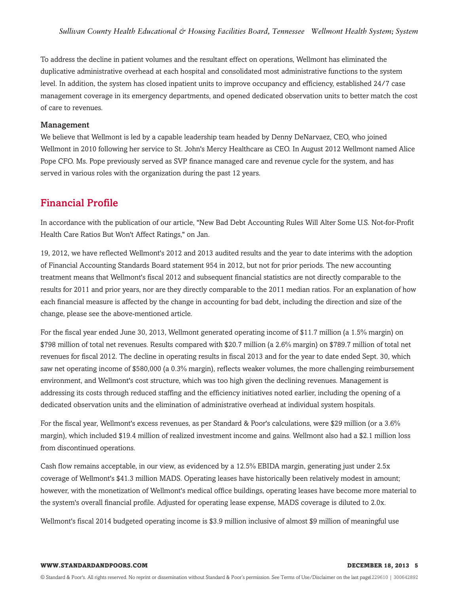To address the decline in patient volumes and the resultant effect on operations, Wellmont has eliminated the duplicative administrative overhead at each hospital and consolidated most administrative functions to the system level. In addition, the system has closed inpatient units to improve occupancy and efficiency, established 24/7 case management coverage in its emergency departments, and opened dedicated observation units to better match the cost of care to revenues.

#### Management

We believe that Wellmont is led by a capable leadership team headed by Denny DeNarvaez, CEO, who joined Wellmont in 2010 following her service to St. John's Mercy Healthcare as CEO. In August 2012 Wellmont named Alice Pope CFO. Ms. Pope previously served as SVP finance managed care and revenue cycle for the system, and has served in various roles with the organization during the past 12 years.

#### Financial Profile

In accordance with the publication of our article, "New Bad Debt Accounting Rules Will Alter Some U.S. Not-for-Profit Health Care Ratios But Won't Affect Ratings," on Jan.

19, 2012, we have reflected Wellmont's 2012 and 2013 audited results and the year to date interims with the adoption of Financial Accounting Standards Board statement 954 in 2012, but not for prior periods. The new accounting treatment means that Wellmont's fiscal 2012 and subsequent financial statistics are not directly comparable to the results for 2011 and prior years, nor are they directly comparable to the 2011 median ratios. For an explanation of how each financial measure is affected by the change in accounting for bad debt, including the direction and size of the change, please see the above-mentioned article.

For the fiscal year ended June 30, 2013, Wellmont generated operating income of \$11.7 million (a 1.5% margin) on \$798 million of total net revenues. Results compared with \$20.7 million (a 2.6% margin) on \$789.7 million of total net revenues for fiscal 2012. The decline in operating results in fiscal 2013 and for the year to date ended Sept. 30, which saw net operating income of \$580,000 (a 0.3% margin), reflects weaker volumes, the more challenging reimbursement environment, and Wellmont's cost structure, which was too high given the declining revenues. Management is addressing its costs through reduced staffing and the efficiency initiatives noted earlier, including the opening of a dedicated observation units and the elimination of administrative overhead at individual system hospitals.

For the fiscal year, Wellmont's excess revenues, as per Standard & Poor's calculations, were \$29 million (or a 3.6% margin), which included \$19.4 million of realized investment income and gains. Wellmont also had a \$2.1 million loss from discontinued operations.

Cash flow remains acceptable, in our view, as evidenced by a 12.5% EBIDA margin, generating just under 2.5x coverage of Wellmont's \$41.3 million MADS. Operating leases have historically been relatively modest in amount; however, with the monetization of Wellmont's medical office buildings, operating leases have become more material to the system's overall financial profile. Adjusted for operating lease expense, MADS coverage is diluted to 2.0x.

Wellmont's fiscal 2014 budgeted operating income is \$3.9 million inclusive of almost \$9 million of meaningful use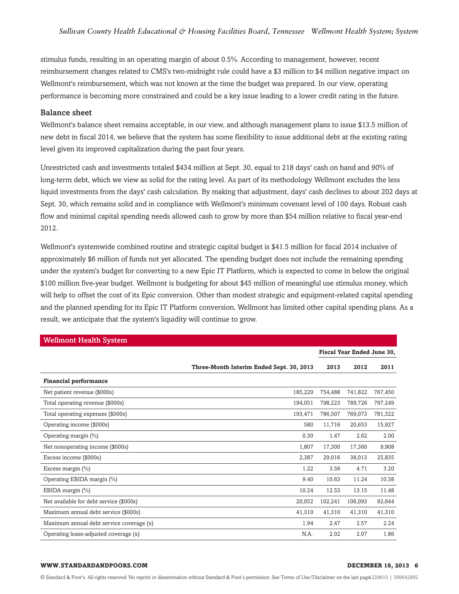stimulus funds, resulting in an operating margin of about 0.5%. According to management, however, recent reimbursement changes related to CMS's two-midnight rule could have a \$3 million to \$4 million negative impact on Wellmont's reimbursement, which was not known at the time the budget was prepared. In our view, operating performance is becoming more constrained and could be a key issue leading to a lower credit rating in the future.

#### Balance sheet

Wellmont's balance sheet remains acceptable, in our view, and although management plans to issue \$13.5 million of new debt in fiscal 2014, we believe that the system has some flexibility to issue additional debt at the existing rating level given its improved capitalization during the past four years.

Unrestricted cash and investments totaled \$434 million at Sept. 30, equal to 218 days' cash on hand and 90% of long-term debt, which we view as solid for the rating level. As part of its methodology Wellmont excludes the less liquid investments from the days' cash calculation. By making that adjustment, days' cash declines to about 202 days at Sept. 30, which remains solid and in compliance with Wellmont's minimum covenant level of 100 days. Robust cash flow and minimal capital spending needs allowed cash to grow by more than \$54 million relative to fiscal year-end 2012.

Wellmont's systemwide combined routine and strategic capital budget is \$41.5 million for fiscal 2014 inclusive of approximately \$6 million of funds not yet allocated. The spending budget does not include the remaining spending under the system's budget for converting to a new Epic IT Platform, which is expected to come in below the original \$100 million five-year budget. Wellmont is budgeting for about \$45 million of meaningful use stimulus money, which will help to offset the cost of its Epic conversion. Other than modest strategic and equipment-related capital spending and the planned spending for its Epic IT Platform conversion, Wellmont has limited other capital spending plans. As a result, we anticipate that the system's liquidity will continue to grow.

| <b>Wellmont Health System</b>            |                                          |         |                            |         |
|------------------------------------------|------------------------------------------|---------|----------------------------|---------|
|                                          |                                          |         | Fiscal Year Ended June 30, |         |
|                                          | Three-Month Interim Ended Sept. 30, 2013 | 2013    | 2012                       | 2011    |
| <b>Financial performance</b>             |                                          |         |                            |         |
| Net patient revenue (\$000s)             | 185,220                                  | 754,488 | 741,822                    | 767,450 |
| Total operating revenue (\$000s)         | 194,051                                  | 798,223 | 789,726                    | 797,249 |
| Total operating expenses (\$000s)        | 193,471                                  | 786,507 | 769,073                    | 781,322 |
| Operating income (\$000s)                | 580                                      | 11,716  | 20,653                     | 15,927  |
| Operating margin (%)                     | 0.30                                     | 1.47    | 2.62                       | 2.00    |
| Net nonoperating income (\$000s)         | 1,807                                    | 17,300  | 17,360                     | 9,908   |
| Excess income (\$000s)                   | 2,387                                    | 29,016  | 38,013                     | 25,835  |
| Excess margin (%)                        | 1.22                                     | 3.56    | 4.71                       | 3.20    |
| Operating EBIDA margin (%)               | 9.40                                     | 10.63   | 11.24                      | 10.38   |
| EBIDA margin (%)                         | 10.24                                    | 12.53   | 13.15                      | 11.48   |
| Net available for debt service (\$000s)  | 20,052                                   | 102,241 | 106,093                    | 92,644  |
| Maximum annual debt service (\$000s)     | 41,310                                   | 41,310  | 41,310                     | 41,310  |
| Maximum annual debt service coverage (x) | 1.94                                     | 2.47    | 2.57                       | 2.24    |
| Operating lease-adjusted coverage (x)    | N.A.                                     | 2.02    | 2.07                       | 1.86    |

#### WWW.STANDARDANDPOORS.COM **DECEMBER 18, 2013 6**

© Standard & Poor's. All rights reserved. No reprint or dissemination without Standard & Poor's permission. See Terms of Use/Disclaimer on the last page.1229610 | 300642892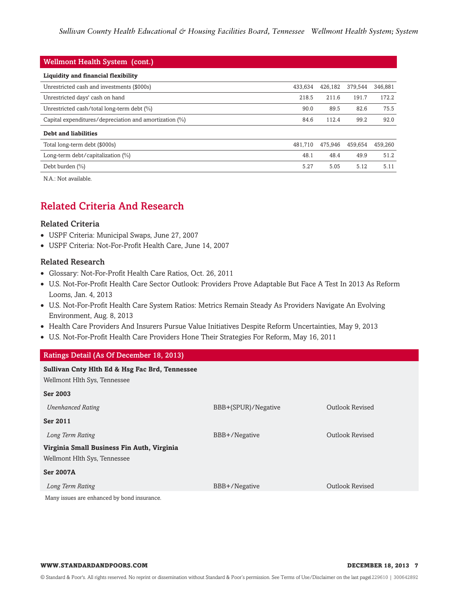| Wellmont Health System (cont.) |  |  |
|--------------------------------|--|--|
|--------------------------------|--|--|

| Liquidity and financial flexibility                    |         |         |         |         |
|--------------------------------------------------------|---------|---------|---------|---------|
| Unrestricted cash and investments (\$000s)             | 433.634 | 426.182 | 379.544 | 346,881 |
| Unrestricted days' cash on hand                        | 218.5   | 211.6   | 191.7   | 172.2   |
| Unrestricted cash/total long-term debt (%)             | 90.0    | 89.5    | 82.6    | 75.5    |
| Capital expenditures/depreciation and amortization (%) | 84.6    | 112.4   | 99.2    | 92.0    |
| Debt and liabilities                                   |         |         |         |         |
| Total long-term debt (\$000s)                          | 481.710 | 475.946 | 459.654 | 459.260 |
| Long-term debt/capitalization (%)                      | 48.1    | 48.4    | 49.9    | 51.2    |
| Debt burden (%)                                        | 5.27    | 5.05    | 5.12    | 5.11    |
|                                                        |         |         |         |         |

N.A.: Not available.

## Related Criteria And Research

#### Related Criteria

- USPF Criteria: Municipal Swaps, June 27, 2007
- USPF Criteria: Not-For-Profit Health Care, June 14, 2007

#### Related Research

- Glossary: Not-For-Profit Health Care Ratios, Oct. 26, 2011
- U.S. Not-For-Profit Health Care Sector Outlook: Providers Prove Adaptable But Face A Test In 2013 As Reform Looms, Jan. 4, 2013
- U.S. Not-For-Profit Health Care System Ratios: Metrics Remain Steady As Providers Navigate An Evolving Environment, Aug. 8, 2013
- Health Care Providers And Insurers Pursue Value Initiatives Despite Reform Uncertainties, May 9, 2013
- U.S. Not-For-Profit Health Care Providers Hone Their Strategies For Reform, May 16, 2011

#### Ratings Detail (As Of December 18, 2013)

#### **Sullivan Cnty Hlth Ed & Hsg Fac Brd, Tennessee**

Wellmont Hlth Sys, Tennessee

#### **Ser 2003**

| <b>Unenhanced Rating</b>                                                   | BBB+(SPUR)/Negative | <b>Outlook Revised</b> |
|----------------------------------------------------------------------------|---------------------|------------------------|
| Ser 2011                                                                   |                     |                        |
| Long Term Rating                                                           | BBB+/Negative       | <b>Outlook Revised</b> |
| Virginia Small Business Fin Auth, Virginia<br>Wellmont Hlth Sys, Tennessee |                     |                        |
| <b>Ser 2007A</b>                                                           |                     |                        |
| Long Term Rating                                                           | BBB+/Negative       | Outlook Revised        |
| Many issues are enhanced by bond insurance.                                |                     |                        |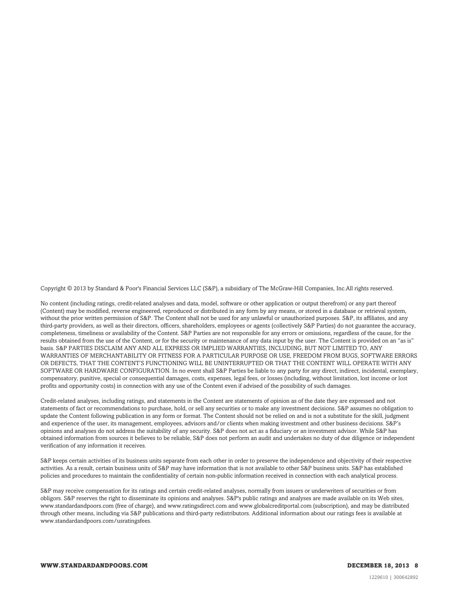Copyright © 2013 by Standard & Poor's Financial Services LLC (S&P), a subsidiary of The McGraw-Hill Companies, Inc.All rights reserved.

No content (including ratings, credit-related analyses and data, model, software or other application or output therefrom) or any part thereof (Content) may be modified, reverse engineered, reproduced or distributed in any form by any means, or stored in a database or retrieval system, without the prior written permission of S&P. The Content shall not be used for any unlawful or unauthorized purposes. S&P, its affiliates, and any third-party providers, as well as their directors, officers, shareholders, employees or agents (collectively S&P Parties) do not guarantee the accuracy, completeness, timeliness or availability of the Content. S&P Parties are not responsible for any errors or omissions, regardless of the cause, for the results obtained from the use of the Content, or for the security or maintenance of any data input by the user. The Content is provided on an "as is" basis. S&P PARTIES DISCLAIM ANY AND ALL EXPRESS OR IMPLIED WARRANTIES, INCLUDING, BUT NOT LIMITED TO, ANY WARRANTIES OF MERCHANTABILITY OR FITNESS FOR A PARTICULAR PURPOSE OR USE, FREEDOM FROM BUGS, SOFTWARE ERRORS OR DEFECTS, THAT THE CONTENT'S FUNCTIONING WILL BE UNINTERRUPTED OR THAT THE CONTENT WILL OPERATE WITH ANY SOFTWARE OR HARDWARE CONFIGURATION. In no event shall S&P Parties be liable to any party for any direct, indirect, incidental, exemplary, compensatory, punitive, special or consequential damages, costs, expenses, legal fees, or losses (including, without limitation, lost income or lost profits and opportunity costs) in connection with any use of the Content even if advised of the possibility of such damages.

Credit-related analyses, including ratings, and statements in the Content are statements of opinion as of the date they are expressed and not statements of fact or recommendations to purchase, hold, or sell any securities or to make any investment decisions. S&P assumes no obligation to update the Content following publication in any form or format. The Content should not be relied on and is not a substitute for the skill, judgment and experience of the user, its management, employees, advisors and/or clients when making investment and other business decisions. S&P's opinions and analyses do not address the suitability of any security. S&P does not act as a fiduciary or an investment advisor. While S&P has obtained information from sources it believes to be reliable, S&P does not perform an audit and undertakes no duty of due diligence or independent verification of any information it receives.

S&P keeps certain activities of its business units separate from each other in order to preserve the independence and objectivity of their respective activities. As a result, certain business units of S&P may have information that is not available to other S&P business units. S&P has established policies and procedures to maintain the confidentiality of certain non-public information received in connection with each analytical process.

S&P may receive compensation for its ratings and certain credit-related analyses, normally from issuers or underwriters of securities or from obligors. S&P reserves the right to disseminate its opinions and analyses. S&P's public ratings and analyses are made available on its Web sites, www.standardandpoors.com (free of charge), and www.ratingsdirect.com and www.globalcreditportal.com (subscription), and may be distributed through other means, including via S&P publications and third-party redistributors. Additional information about our ratings fees is available at www.standardandpoors.com/usratingsfees.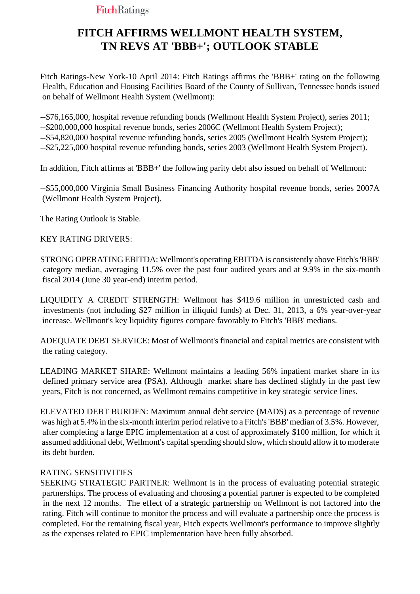# **FitchRatings**

# **FITCH AFFIRMS WELLMONT HEALTH SYSTEM, TN REVS AT 'BBB+'; OUTLOOK STABLE**

Fitch Ratings-New York-10 April 2014: Fitch Ratings affirms the 'BBB+' rating on the following Health, Education and Housing Facilities Board of the County of Sullivan, Tennessee bonds issued on behalf of Wellmont Health System (Wellmont):

--\$76,165,000, hospital revenue refunding bonds (Wellmont Health System Project), series 2011; --\$200,000,000 hospital revenue bonds, series 2006C (Wellmont Health System Project); --\$54,820,000 hospital revenue refunding bonds, series 2005 (Wellmont Health System Project); --\$25,225,000 hospital revenue refunding bonds, series 2003 (Wellmont Health System Project).

In addition, Fitch affirms at 'BBB+' the following parity debt also issued on behalf of Wellmont:

--\$55,000,000 Virginia Small Business Financing Authority hospital revenue bonds, series 2007A (Wellmont Health System Project).

The Rating Outlook is Stable.

### KEY RATING DRIVERS:

STRONG OPERATING EBITDA: Wellmont's operating EBITDA is consistently above Fitch's 'BBB' category median, averaging 11.5% over the past four audited years and at 9.9% in the six-month fiscal 2014 (June 30 year-end) interim period.

LIQUIDITY A CREDIT STRENGTH: Wellmont has \$419.6 million in unrestricted cash and investments (not including \$27 million in illiquid funds) at Dec. 31, 2013, a 6% year-over-year increase. Wellmont's key liquidity figures compare favorably to Fitch's 'BBB' medians.

ADEQUATE DEBT SERVICE: Most of Wellmont's financial and capital metrics are consistent with the rating category.

LEADING MARKET SHARE: Wellmont maintains a leading 56% inpatient market share in its defined primary service area (PSA). Although market share has declined slightly in the past few years, Fitch is not concerned, as Wellmont remains competitive in key strategic service lines.

ELEVATED DEBT BURDEN: Maximum annual debt service (MADS) as a percentage of revenue was high at 5.4% in the six-month interim period relative to a Fitch's 'BBB' median of 3.5%. However, after completing a large EPIC implementation at a cost of approximately \$100 million, for which it assumed additional debt, Wellmont's capital spending should slow, which should allow it to moderate its debt burden.

#### RATING SENSITIVITIES

SEEKING STRATEGIC PARTNER: Wellmont is in the process of evaluating potential strategic partnerships. The process of evaluating and choosing a potential partner is expected to be completed in the next 12 months. The effect of a strategic partnership on Wellmont is not factored into the rating. Fitch will continue to monitor the process and will evaluate a partnership once the process is completed. For the remaining fiscal year, Fitch expects Wellmont's performance to improve slightly as the expenses related to EPIC implementation have been fully absorbed.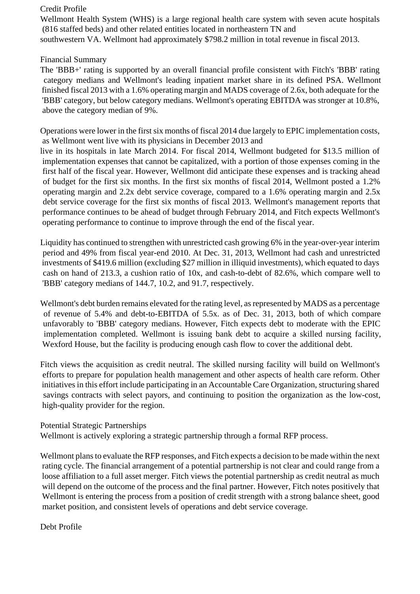#### Credit Profile

Wellmont Health System (WHS) is a large regional health care system with seven acute hospitals (816 staffed beds) and other related entities located in northeastern TN and

southwestern VA. Wellmont had approximately \$798.2 million in total revenue in fiscal 2013.

### Financial Summary

The 'BBB+' rating is supported by an overall financial profile consistent with Fitch's 'BBB' rating category medians and Wellmont's leading inpatient market share in its defined PSA. Wellmont finished fiscal 2013 with a 1.6% operating margin and MADS coverage of 2.6x, both adequate for the 'BBB' category, but below category medians. Wellmont's operating EBITDA was stronger at 10.8%, above the category median of 9%.

Operations were lower in the first six months of fiscal 2014 due largely to EPIC implementation costs, as Wellmont went live with its physicians in December 2013 and

live in its hospitals in late March 2014. For fiscal 2014, Wellmont budgeted for \$13.5 million of implementation expenses that cannot be capitalized, with a portion of those expenses coming in the first half of the fiscal year. However, Wellmont did anticipate these expenses and is tracking ahead of budget for the first six months. In the first six months of fiscal 2014, Wellmont posted a 1.2% operating margin and 2.2x debt service coverage, compared to a 1.6% operating margin and 2.5x debt service coverage for the first six months of fiscal 2013. Wellmont's management reports that performance continues to be ahead of budget through February 2014, and Fitch expects Wellmont's operating performance to continue to improve through the end of the fiscal year.

Liquidity has continued to strengthen with unrestricted cash growing 6% in the year-over-year interim period and 49% from fiscal year-end 2010. At Dec. 31, 2013, Wellmont had cash and unrestricted investments of \$419.6 million (excluding \$27 million in illiquid investments), which equated to days cash on hand of 213.3, a cushion ratio of 10x, and cash-to-debt of 82.6%, which compare well to 'BBB' category medians of 144.7, 10.2, and 91.7, respectively.

Wellmont's debt burden remains elevated for the rating level, as represented by MADS as a percentage of revenue of 5.4% and debt-to-EBITDA of 5.5x. as of Dec. 31, 2013, both of which compare unfavorably to 'BBB' category medians. However, Fitch expects debt to moderate with the EPIC implementation completed. Wellmont is issuing bank debt to acquire a skilled nursing facility, Wexford House, but the facility is producing enough cash flow to cover the additional debt.

Fitch views the acquisition as credit neutral. The skilled nursing facility will build on Wellmont's efforts to prepare for population health management and other aspects of health care reform. Other initiatives in this effort include participating in an Accountable Care Organization, structuring shared savings contracts with select payors, and continuing to position the organization as the low-cost, high-quality provider for the region.

#### Potential Strategic Partnerships

Wellmont is actively exploring a strategic partnership through a formal RFP process.

Wellmont plans to evaluate the RFP responses, and Fitch expects a decision to be made within the next rating cycle. The financial arrangement of a potential partnership is not clear and could range from a loose affiliation to a full asset merger. Fitch views the potential partnership as credit neutral as much will depend on the outcome of the process and the final partner. However, Fitch notes positively that Wellmont is entering the process from a position of credit strength with a strong balance sheet, good market position, and consistent levels of operations and debt service coverage.

Debt Profile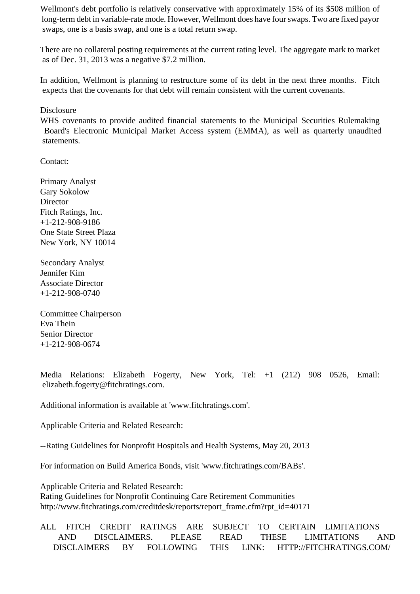Wellmont's debt portfolio is relatively conservative with approximately 15% of its \$508 million of long-term debt in variable-rate mode. However, Wellmont does have four swaps. Two are fixed payor swaps, one is a basis swap, and one is a total return swap.

There are no collateral posting requirements at the current rating level. The aggregate mark to market as of Dec. 31, 2013 was a negative \$7.2 million.

In addition, Wellmont is planning to restructure some of its debt in the next three months. Fitch expects that the covenants for that debt will remain consistent with the current covenants.

#### **Disclosure**

WHS covenants to provide audited financial statements to the Municipal Securities Rulemaking Board's Electronic Municipal Market Access system (EMMA), as well as quarterly unaudited statements.

Contact:

Primary Analyst Gary Sokolow Director Fitch Ratings, Inc. +1-212-908-9186 One State Street Plaza New York, NY 10014

Secondary Analyst Jennifer Kim Associate Director +1-212-908-0740

Committee Chairperson Eva Thein Senior Director +1-212-908-0674

Media Relations: Elizabeth Fogerty, New York, Tel: +1 (212) 908 0526, Email: elizabeth.fogerty@fitchratings.com.

Additional information is available at 'www.fitchratings.com'.

Applicable Criteria and Related Research:

--Rating Guidelines for Nonprofit Hospitals and Health Systems, May 20, 2013

For information on Build America Bonds, visit 'www.fitchratings.com/BABs'.

Applicable Criteria and Related Research: Rating Guidelines for Nonprofit Continuing Care Retirement Communities http://www.fitchratings.com/creditdesk/reports/report\_frame.cfm?rpt\_id=40171

ALL FITCH CREDIT RATINGS ARE SUBJECT TO CERTAIN LIMITATIONS AND DISCLAIMERS. PLEASE READ THESE LIMITATIONS AND DISCLAIMERS BY FOLLOWING THIS LINK: HTTP://FITCHRATINGS.COM/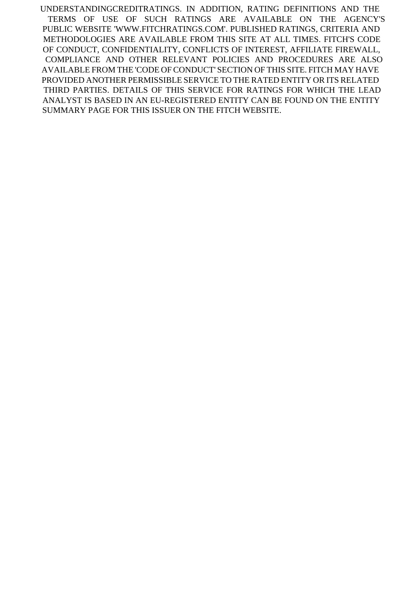UNDERSTANDINGCREDITRATINGS. IN ADDITION, RATING DEFINITIONS AND THE TERMS OF USE OF SUCH RATINGS ARE AVAILABLE ON THE AGENCY'S PUBLIC WEBSITE 'WWW.FITCHRATINGS.COM'. PUBLISHED RATINGS, CRITERIA AND METHODOLOGIES ARE AVAILABLE FROM THIS SITE AT ALL TIMES. FITCH'S CODE OF CONDUCT, CONFIDENTIALITY, CONFLICTS OF INTEREST, AFFILIATE FIREWALL, COMPLIANCE AND OTHER RELEVANT POLICIES AND PROCEDURES ARE ALSO AVAILABLE FROM THE 'CODE OF CONDUCT' SECTION OF THIS SITE. FITCH MAY HAVE PROVIDED ANOTHER PERMISSIBLE SERVICE TO THE RATED ENTITY OR ITS RELATED THIRD PARTIES. DETAILS OF THIS SERVICE FOR RATINGS FOR WHICH THE LEAD ANALYST IS BASED IN AN EU-REGISTERED ENTITY CAN BE FOUND ON THE ENTITY SUMMARY PAGE FOR THIS ISSUER ON THE FITCH WEBSITE.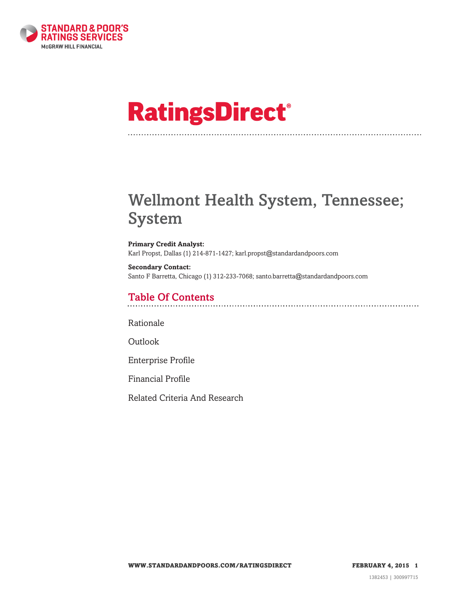

# **RatingsDirect®**

# Wellmont Health System, Tennessee; System

**Primary Credit Analyst:** Karl Propst, Dallas (1) 214-871-1427; karl.propst@standardandpoors.com

**Secondary Contact:** Santo F Barretta, Chicago (1) 312-233-7068; santo.barretta@standardandpoors.com

# Table Of Contents

Rationale

Outlook

Enterprise Profile

Financial Profile

Related Criteria And Research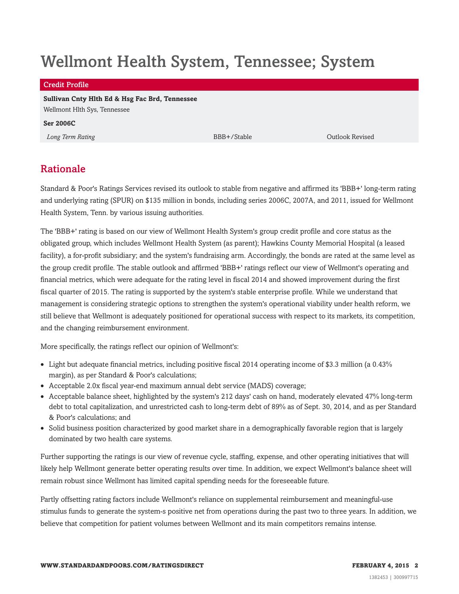# Wellmont Health System, Tennessee; System

#### Credit Profile

**Sullivan Cnty Hlth Ed & Hsg Fac Brd, Tennessee** Wellmont Hlth Sys, Tennessee **Ser 2006C**

**Long Term Rating Community Community Community BBB+/Stable Community Community Community Community Community Community Community Community Community Community Community Community Community Community Community Community Co** 

### Rationale

Standard & Poor's Ratings Services revised its outlook to stable from negative and affirmed its 'BBB+' long-term rating and underlying rating (SPUR) on \$135 million in bonds, including series 2006C, 2007A, and 2011, issued for Wellmont Health System, Tenn. by various issuing authorities.

The 'BBB+' rating is based on our view of Wellmont Health System's group credit profile and core status as the obligated group, which includes Wellmont Health System (as parent); Hawkins County Memorial Hospital (a leased facility), a for-profit subsidiary; and the system's fundraising arm. Accordingly, the bonds are rated at the same level as the group credit profile. The stable outlook and affirmed 'BBB+' ratings reflect our view of Wellmont's operating and financial metrics, which were adequate for the rating level in fiscal 2014 and showed improvement during the first fiscal quarter of 2015. The rating is supported by the system's stable enterprise profile. While we understand that management is considering strategic options to strengthen the system's operational viability under health reform, we still believe that Wellmont is adequately positioned for operational success with respect to its markets, its competition, and the changing reimbursement environment.

More specifically, the ratings reflect our opinion of Wellmont's:

- Light but adequate financial metrics, including positive fiscal 2014 operating income of \$3.3 million (a 0.43% margin), as per Standard & Poor's calculations;
- Acceptable 2.0x fiscal year-end maximum annual debt service (MADS) coverage;
- Acceptable balance sheet, highlighted by the system's 212 days' cash on hand, moderately elevated 47% long-term debt to total capitalization, and unrestricted cash to long-term debt of 89% as of Sept. 30, 2014, and as per Standard & Poor's calculations; and
- Solid business position characterized by good market share in a demographically favorable region that is largely dominated by two health care systems.

Further supporting the ratings is our view of revenue cycle, staffing, expense, and other operating initiatives that will likely help Wellmont generate better operating results over time. In addition, we expect Wellmont's balance sheet will remain robust since Wellmont has limited capital spending needs for the foreseeable future.

Partly offsetting rating factors include Wellmont's reliance on supplemental reimbursement and meaningful-use stimulus funds to generate the system-s positive net from operations during the past two to three years. In addition, we believe that competition for patient volumes between Wellmont and its main competitors remains intense.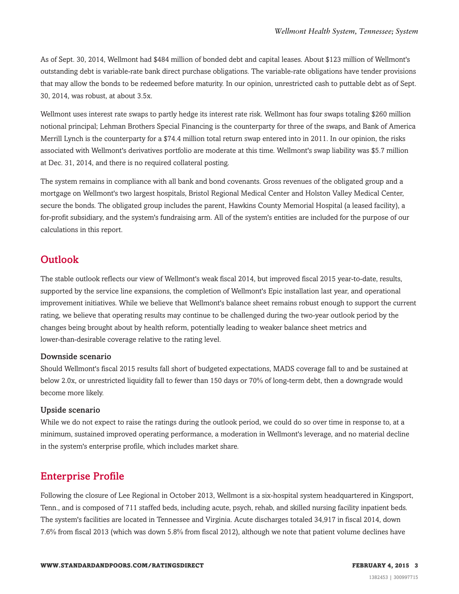As of Sept. 30, 2014, Wellmont had \$484 million of bonded debt and capital leases. About \$123 million of Wellmont's outstanding debt is variable-rate bank direct purchase obligations. The variable-rate obligations have tender provisions that may allow the bonds to be redeemed before maturity. In our opinion, unrestricted cash to puttable debt as of Sept. 30, 2014, was robust, at about 3.5x.

Wellmont uses interest rate swaps to partly hedge its interest rate risk. Wellmont has four swaps totaling \$260 million notional principal; Lehman Brothers Special Financing is the counterparty for three of the swaps, and Bank of America Merrill Lynch is the counterparty for a \$74.4 million total return swap entered into in 2011. In our opinion, the risks associated with Wellmont's derivatives portfolio are moderate at this time. Wellmont's swap liability was \$5.7 million at Dec. 31, 2014, and there is no required collateral posting.

The system remains in compliance with all bank and bond covenants. Gross revenues of the obligated group and a mortgage on Wellmont's two largest hospitals, Bristol Regional Medical Center and Holston Valley Medical Center, secure the bonds. The obligated group includes the parent, Hawkins County Memorial Hospital (a leased facility), a for-profit subsidiary, and the system's fundraising arm. All of the system's entities are included for the purpose of our calculations in this report.

# **Outlook**

The stable outlook reflects our view of Wellmont's weak fiscal 2014, but improved fiscal 2015 year-to-date, results, supported by the service line expansions, the completion of Wellmont's Epic installation last year, and operational improvement initiatives. While we believe that Wellmont's balance sheet remains robust enough to support the current rating, we believe that operating results may continue to be challenged during the two-year outlook period by the changes being brought about by health reform, potentially leading to weaker balance sheet metrics and lower-than-desirable coverage relative to the rating level.

#### Downside scenario

Should Wellmont's fiscal 2015 results fall short of budgeted expectations, MADS coverage fall to and be sustained at below 2.0x, or unrestricted liquidity fall to fewer than 150 days or 70% of long-term debt, then a downgrade would become more likely.

#### Upside scenario

While we do not expect to raise the ratings during the outlook period, we could do so over time in response to, at a minimum, sustained improved operating performance, a moderation in Wellmont's leverage, and no material decline in the system's enterprise profile, which includes market share.

### Enterprise Profile

Following the closure of Lee Regional in October 2013, Wellmont is a six-hospital system headquartered in Kingsport, Tenn., and is composed of 711 staffed beds, including acute, psych, rehab, and skilled nursing facility inpatient beds. The system's facilities are located in Tennessee and Virginia. Acute discharges totaled 34,917 in fiscal 2014, down 7.6% from fiscal 2013 (which was down 5.8% from fiscal 2012), although we note that patient volume declines have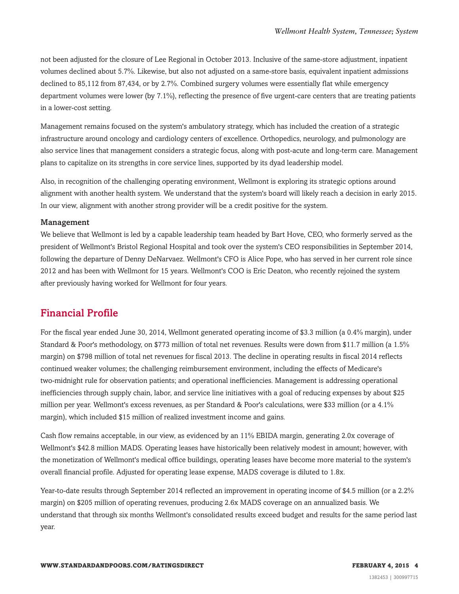not been adjusted for the closure of Lee Regional in October 2013. Inclusive of the same-store adjustment, inpatient volumes declined about 5.7%. Likewise, but also not adjusted on a same-store basis, equivalent inpatient admissions declined to 85,112 from 87,434, or by 2.7%. Combined surgery volumes were essentially flat while emergency department volumes were lower (by 7.1%), reflecting the presence of five urgent-care centers that are treating patients in a lower-cost setting.

Management remains focused on the system's ambulatory strategy, which has included the creation of a strategic infrastructure around oncology and cardiology centers of excellence. Orthopedics, neurology, and pulmonology are also service lines that management considers a strategic focus, along with post-acute and long-term care. Management plans to capitalize on its strengths in core service lines, supported by its dyad leadership model.

Also, in recognition of the challenging operating environment, Wellmont is exploring its strategic options around alignment with another health system. We understand that the system's board will likely reach a decision in early 2015. In our view, alignment with another strong provider will be a credit positive for the system.

#### Management

We believe that Wellmont is led by a capable leadership team headed by Bart Hove, CEO, who formerly served as the president of Wellmont's Bristol Regional Hospital and took over the system's CEO responsibilities in September 2014, following the departure of Denny DeNarvaez. Wellmont's CFO is Alice Pope, who has served in her current role since 2012 and has been with Wellmont for 15 years. Wellmont's COO is Eric Deaton, who recently rejoined the system after previously having worked for Wellmont for four years.

#### Financial Profile

For the fiscal year ended June 30, 2014, Wellmont generated operating income of \$3.3 million (a 0.4% margin), under Standard & Poor's methodology, on \$773 million of total net revenues. Results were down from \$11.7 million (a 1.5% margin) on \$798 million of total net revenues for fiscal 2013. The decline in operating results in fiscal 2014 reflects continued weaker volumes; the challenging reimbursement environment, including the effects of Medicare's two-midnight rule for observation patients; and operational inefficiencies. Management is addressing operational inefficiencies through supply chain, labor, and service line initiatives with a goal of reducing expenses by about \$25 million per year. Wellmont's excess revenues, as per Standard & Poor's calculations, were \$33 million (or a 4.1% margin), which included \$15 million of realized investment income and gains.

Cash flow remains acceptable, in our view, as evidenced by an 11% EBIDA margin, generating 2.0x coverage of Wellmont's \$42.8 million MADS. Operating leases have historically been relatively modest in amount; however, with the monetization of Wellmont's medical office buildings, operating leases have become more material to the system's overall financial profile. Adjusted for operating lease expense, MADS coverage is diluted to 1.8x.

Year-to-date results through September 2014 reflected an improvement in operating income of \$4.5 million (or a 2.2% margin) on \$205 million of operating revenues, producing 2.6x MADS coverage on an annualized basis. We understand that through six months Wellmont's consolidated results exceed budget and results for the same period last year.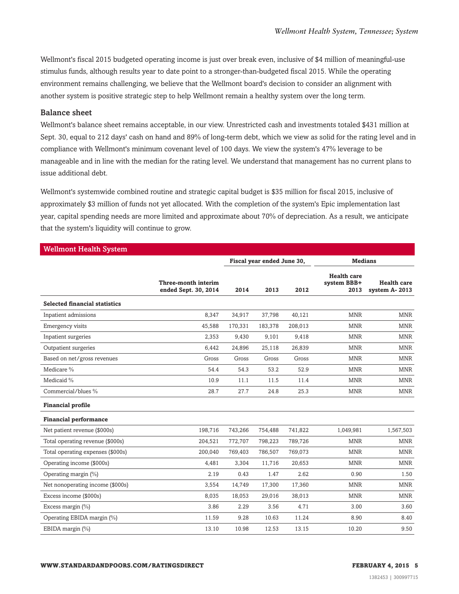Wellmont's fiscal 2015 budgeted operating income is just over break even, inclusive of \$4 million of meaningful-use stimulus funds, although results year to date point to a stronger-than-budgeted fiscal 2015. While the operating environment remains challenging, we believe that the Wellmont board's decision to consider an alignment with another system is positive strategic step to help Wellmont remain a healthy system over the long term.

#### Balance sheet

Wellmont's balance sheet remains acceptable, in our view. Unrestricted cash and investments totaled \$431 million at Sept. 30, equal to 212 days' cash on hand and 89% of long-term debt, which we view as solid for the rating level and in compliance with Wellmont's minimum covenant level of 100 days. We view the system's 47% leverage to be manageable and in line with the median for the rating level. We understand that management has no current plans to issue additional debt.

Wellmont's systemwide combined routine and strategic capital budget is \$35 million for fiscal 2015, inclusive of approximately \$3 million of funds not yet allocated. With the completion of the system's Epic implementation last year, capital spending needs are more limited and approximate about 70% of depreciation. As a result, we anticipate that the system's liquidity will continue to grow.

| <b>Wellmont Health System</b>        |                                             |                            |         |         |                                           |                                     |
|--------------------------------------|---------------------------------------------|----------------------------|---------|---------|-------------------------------------------|-------------------------------------|
|                                      |                                             | Fiscal year ended June 30, |         |         | <b>Medians</b>                            |                                     |
|                                      | Three-month interim<br>ended Sept. 30, 2014 | 2014                       | 2013    | 2012    | <b>Health care</b><br>system BBB+<br>2013 | <b>Health care</b><br>system A-2013 |
| <b>Selected financial statistics</b> |                                             |                            |         |         |                                           |                                     |
| Inpatient admissions                 | 8,347                                       | 34,917                     | 37,798  | 40,121  | <b>MNR</b>                                | <b>MNR</b>                          |
| Emergency visits                     | 45,588                                      | 170,331                    | 183,378 | 208,013 | <b>MNR</b>                                | <b>MNR</b>                          |
| Inpatient surgeries                  | 2,353                                       | 9,430                      | 9,101   | 9,418   | <b>MNR</b>                                | <b>MNR</b>                          |
| Outpatient surgeries                 | 6,442                                       | 24,896                     | 25,118  | 26,839  | <b>MNR</b>                                | <b>MNR</b>                          |
| Based on net/gross revenues          | Gross                                       | Gross                      | Gross   | Gross   | <b>MNR</b>                                | <b>MNR</b>                          |
| Medicare %                           | 54.4                                        | 54.3                       | 53.2    | 52.9    | <b>MNR</b>                                | <b>MNR</b>                          |
| Medicaid %                           | 10.9                                        | 11.1                       | 11.5    | 11.4    | <b>MNR</b>                                | <b>MNR</b>                          |
| Commercial/blues %                   | 28.7                                        | 27.7                       | 24.8    | 25.3    | <b>MNR</b>                                | <b>MNR</b>                          |
| <b>Financial profile</b>             |                                             |                            |         |         |                                           |                                     |
| <b>Financial performance</b>         |                                             |                            |         |         |                                           |                                     |
| Net patient revenue (\$000s)         | 198,716                                     | 743,266                    | 754,488 | 741,822 | 1,049,981                                 | 1,567,503                           |
| Total operating revenue (\$000s)     | 204,521                                     | 772,707                    | 798,223 | 789,726 | <b>MNR</b>                                | <b>MNR</b>                          |
| Total operating expenses (\$000s)    | 200,040                                     | 769,403                    | 786,507 | 769,073 | <b>MNR</b>                                | <b>MNR</b>                          |
| Operating income (\$000s)            | 4,481                                       | 3,304                      | 11,716  | 20,653  | <b>MNR</b>                                | <b>MNR</b>                          |
| Operating margin (%)                 | 2.19                                        | 0.43                       | 1.47    | 2.62    | 0.90                                      | 1.50                                |
| Net nonoperating income (\$000s)     | 3,554                                       | 14,749                     | 17,300  | 17,360  | <b>MNR</b>                                | <b>MNR</b>                          |
| Excess income (\$000s)               | 8,035                                       | 18,053                     | 29,016  | 38,013  | <b>MNR</b>                                | <b>MNR</b>                          |
| Excess margin (%)                    | 3.86                                        | 2.29                       | 3.56    | 4.71    | 3.00                                      | 3.60                                |
| Operating EBIDA margin (%)           | 11.59                                       | 9.28                       | 10.63   | 11.24   | 8.90                                      | 8.40                                |
| EBIDA margin (%)                     | 13.10                                       | 10.98                      | 12.53   | 13.15   | 10.20                                     | 9.50                                |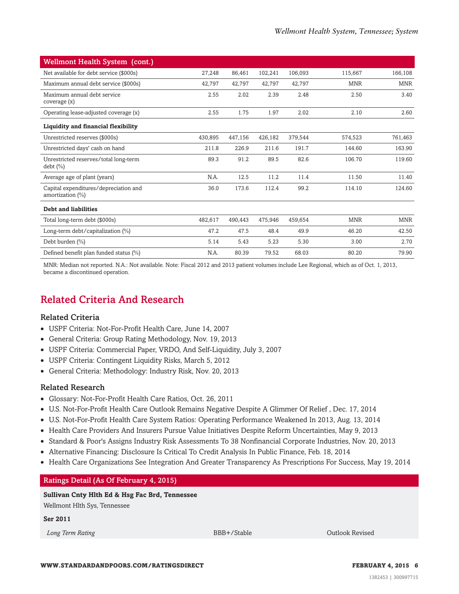| Wellmont Health System (cont.)                                |         |         |         |         |            |            |
|---------------------------------------------------------------|---------|---------|---------|---------|------------|------------|
| Net available for debt service (\$000s)                       | 27,248  | 86,461  | 102,241 | 106,093 | 115,667    | 166,108    |
| Maximum annual debt service (\$000s)                          | 42,797  | 42,797  | 42,797  | 42,797  | <b>MNR</b> | <b>MNR</b> |
| Maximum annual debt service<br>coverage(x)                    | 2.55    | 2.02    | 2.39    | 2.48    | 2.50       | 3.40       |
| Operating lease-adjusted coverage (x)                         | 2.55    | 1.75    | 1.97    | 2.02    | 2.10       | 2.60       |
| Liquidity and financial flexibility                           |         |         |         |         |            |            |
| Unrestricted reserves (\$000s)                                | 430,895 | 447,156 | 426,182 | 379,544 | 574,523    | 761,463    |
| Unrestricted days' cash on hand                               | 211.8   | 226.9   | 211.6   | 191.7   | 144.60     | 163.90     |
| Unrestricted reserves/total long-term<br>$debt$ $(\%)$        | 89.3    | 91.2    | 89.5    | 82.6    | 106.70     | 119.60     |
| Average age of plant (years)                                  | N.A.    | 12.5    | 11.2    | 11.4    | 11.50      | 11.40      |
| Capital expenditures/depreciation and<br>amortization $(\% )$ | 36.0    | 173.6   | 112.4   | 99.2    | 114.10     | 124.60     |
| <b>Debt and liabilities</b>                                   |         |         |         |         |            |            |
| Total long-term debt (\$000s)                                 | 482,617 | 490,443 | 475,946 | 459,654 | <b>MNR</b> | <b>MNR</b> |
| Long-term debt/capitalization (%)                             | 47.2    | 47.5    | 48.4    | 49.9    | 46.20      | 42.50      |
| Debt burden (%)                                               | 5.14    | 5.43    | 5.23    | 5.30    | 3.00       | 2.70       |
| Defined benefit plan funded status (%)                        | N.A.    | 80.39   | 79.52   | 68.03   | 80.20      | 79.90      |

MNR: Median not reported. N.A.: Not available. Note: Fiscal 2012 and 2013 patient volumes include Lee Regional, which as of Oct. 1, 2013, became a discontinued operation.

# Related Criteria And Research

#### Related Criteria

- USPF Criteria: Not-For-Profit Health Care, June 14, 2007
- General Criteria: Group Rating Methodology, Nov. 19, 2013
- USPF Criteria: Commercial Paper, VRDO, And Self-Liquidity, July 3, 2007
- USPF Criteria: Contingent Liquidity Risks, March 5, 2012
- General Criteria: Methodology: Industry Risk, Nov. 20, 2013

#### Related Research

- Glossary: Not-For-Profit Health Care Ratios, Oct. 26, 2011
- U.S. Not-For-Profit Health Care Outlook Remains Negative Despite A Glimmer Of Relief , Dec. 17, 2014
- U.S. Not-For-Profit Health Care System Ratios: Operating Performance Weakened In 2013, Aug. 13, 2014
- Health Care Providers And Insurers Pursue Value Initiatives Despite Reform Uncertainties, May 9, 2013
- Standard & Poor's Assigns Industry Risk Assessments To 38 Nonfinancial Corporate Industries, Nov. 20, 2013
- Alternative Financing: Disclosure Is Critical To Credit Analysis In Public Finance, Feb. 18, 2014
- Health Care Organizations See Integration And Greater Transparency As Prescriptions For Success, May 19, 2014

#### Ratings Detail (As Of February 4, 2015)

#### **Sullivan Cnty Hlth Ed & Hsg Fac Brd, Tennessee**

Wellmont Hlth Sys, Tennessee

**Ser 2011**

**Long Term Rating Community Community Community BBB+/Stable Community Community Community Community Community Community Community Community Community Community Community Community Community Community Community Community Co**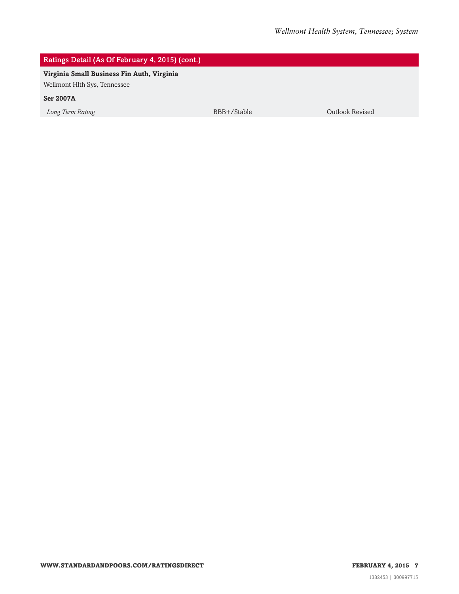#### Ratings Detail (As Of February 4, 2015) (cont.)

#### **Virginia Small Business Fin Auth, Virginia**

Wellmont Hlth Sys, Tennessee

#### **Ser 2007A**

**Long Term Rating BBB+/Stable BBB+/Stable Outlook Revised**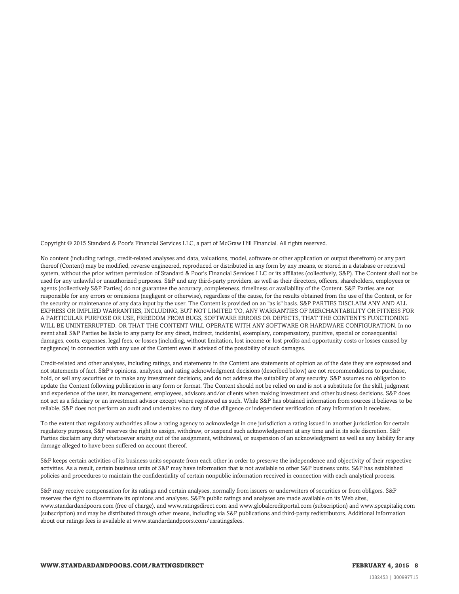Copyright © 2015 Standard & Poor's Financial Services LLC, a part of McGraw Hill Financial. All rights reserved.

No content (including ratings, credit-related analyses and data, valuations, model, software or other application or output therefrom) or any part thereof (Content) may be modified, reverse engineered, reproduced or distributed in any form by any means, or stored in a database or retrieval system, without the prior written permission of Standard & Poor's Financial Services LLC or its affiliates (collectively, S&P). The Content shall not be used for any unlawful or unauthorized purposes. S&P and any third-party providers, as well as their directors, officers, shareholders, employees or agents (collectively S&P Parties) do not guarantee the accuracy, completeness, timeliness or availability of the Content. S&P Parties are not responsible for any errors or omissions (negligent or otherwise), regardless of the cause, for the results obtained from the use of the Content, or for the security or maintenance of any data input by the user. The Content is provided on an "as is" basis. S&P PARTIES DISCLAIM ANY AND ALL EXPRESS OR IMPLIED WARRANTIES, INCLUDING, BUT NOT LIMITED TO, ANY WARRANTIES OF MERCHANTABILITY OR FITNESS FOR A PARTICULAR PURPOSE OR USE, FREEDOM FROM BUGS, SOFTWARE ERRORS OR DEFECTS, THAT THE CONTENT'S FUNCTIONING WILL BE UNINTERRUPTED, OR THAT THE CONTENT WILL OPERATE WITH ANY SOFTWARE OR HARDWARE CONFIGURATION. In no event shall S&P Parties be liable to any party for any direct, indirect, incidental, exemplary, compensatory, punitive, special or consequential damages, costs, expenses, legal fees, or losses (including, without limitation, lost income or lost profits and opportunity costs or losses caused by negligence) in connection with any use of the Content even if advised of the possibility of such damages.

Credit-related and other analyses, including ratings, and statements in the Content are statements of opinion as of the date they are expressed and not statements of fact. S&P's opinions, analyses, and rating acknowledgment decisions (described below) are not recommendations to purchase, hold, or sell any securities or to make any investment decisions, and do not address the suitability of any security. S&P assumes no obligation to update the Content following publication in any form or format. The Content should not be relied on and is not a substitute for the skill, judgment and experience of the user, its management, employees, advisors and/or clients when making investment and other business decisions. S&P does not act as a fiduciary or an investment advisor except where registered as such. While S&P has obtained information from sources it believes to be reliable, S&P does not perform an audit and undertakes no duty of due diligence or independent verification of any information it receives.

To the extent that regulatory authorities allow a rating agency to acknowledge in one jurisdiction a rating issued in another jurisdiction for certain regulatory purposes, S&P reserves the right to assign, withdraw, or suspend such acknowledgement at any time and in its sole discretion. S&P Parties disclaim any duty whatsoever arising out of the assignment, withdrawal, or suspension of an acknowledgment as well as any liability for any damage alleged to have been suffered on account thereof.

S&P keeps certain activities of its business units separate from each other in order to preserve the independence and objectivity of their respective activities. As a result, certain business units of S&P may have information that is not available to other S&P business units. S&P has established policies and procedures to maintain the confidentiality of certain nonpublic information received in connection with each analytical process.

S&P may receive compensation for its ratings and certain analyses, normally from issuers or underwriters of securities or from obligors. S&P reserves the right to disseminate its opinions and analyses. S&P's public ratings and analyses are made available on its Web sites, www.standardandpoors.com (free of charge), and www.ratingsdirect.com and www.globalcreditportal.com (subscription) and www.spcapitaliq.com (subscription) and may be distributed through other means, including via S&P publications and third-party redistributors. Additional information about our ratings fees is available at www.standardandpoors.com/usratingsfees.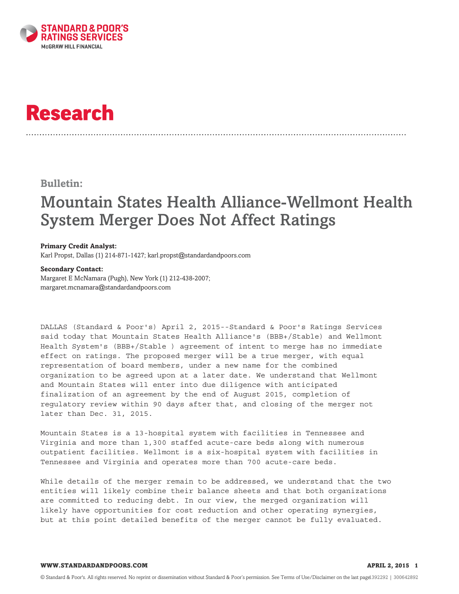

# **Research**

**Bulletin:**

# Mountain States Health Alliance-Wellmont Health System Merger Does Not Affect Ratings

#### **Primary Credit Analyst:**

Karl Propst, Dallas (1) 214-871-1427; karl.propst@standardandpoors.com

#### **Secondary Contact:**

Margaret E McNamara (Pugh), New York (1) 212-438-2007; margaret.mcnamara@standardandpoors.com

DALLAS (Standard & Poor's) April 2, 2015--Standard & Poor's Ratings Services said today that Mountain States Health Alliance's (BBB+/Stable) and Wellmont Health System's (BBB+/Stable ) agreement of intent to merge has no immediate effect on ratings. The proposed merger will be a true merger, with equal representation of board members, under a new name for the combined organization to be agreed upon at a later date. We understand that Wellmont and Mountain States will enter into due diligence with anticipated finalization of an agreement by the end of August 2015, completion of regulatory review within 90 days after that, and closing of the merger not later than Dec. 31, 2015.

Mountain States is a 13-hospital system with facilities in Tennessee and Virginia and more than 1,300 staffed acute-care beds along with numerous outpatient facilities. Wellmont is a six-hospital system with facilities in Tennessee and Virginia and operates more than 700 acute-care beds.

While details of the merger remain to be addressed, we understand that the two entities will likely combine their balance sheets and that both organizations are committed to reducing debt. In our view, the merged organization will likely have opportunities for cost reduction and other operating synergies, but at this point detailed benefits of the merger cannot be fully evaluated.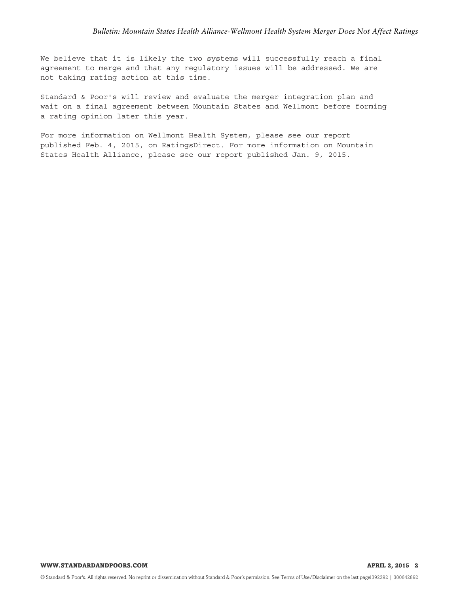We believe that it is likely the two systems will successfully reach a final agreement to merge and that any regulatory issues will be addressed. We are not taking rating action at this time.

Standard & Poor's will review and evaluate the merger integration plan and wait on a final agreement between Mountain States and Wellmont before forming a rating opinion later this year.

For more information on Wellmont Health System, please see our report published Feb. 4, 2015, on RatingsDirect. For more information on Mountain States Health Alliance, please see our report published Jan. 9, 2015.